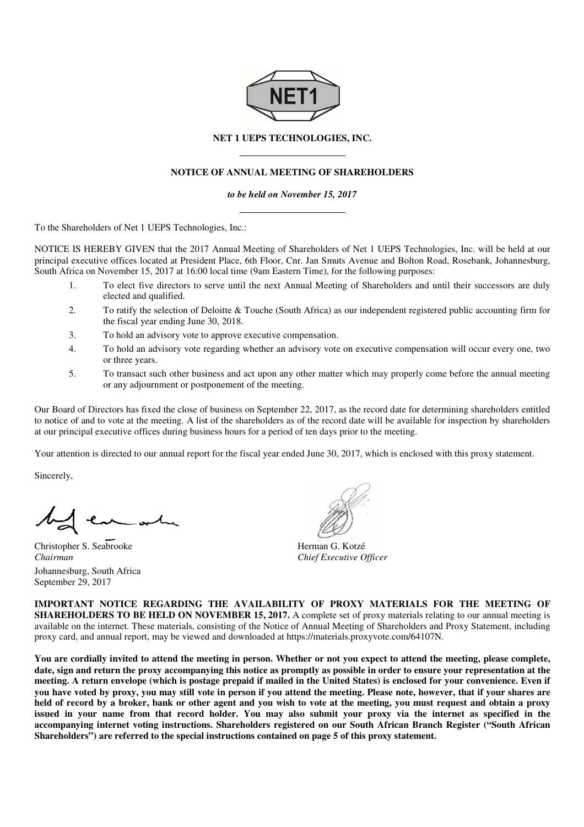

## **NET 1 UEPS TECHNOLOGIES, INC.**

## **NOTICE OF ANNUAL MEETING OF SHAREHOLDERS**

*to be held on November 15, 2017* 

To the Shareholders of Net 1 UEPS Technologies, Inc.:

NOTICE IS HEREBY GIVEN that the 2017 Annual Meeting of Shareholders of Net 1 UEPS Technologies, Inc. will be held at our NOTICE IS HEREBY GIVEN that the 2017 Annual Meeting of Shareholders of Net 1 UEPS Technologies, Inc. will be held at our<br>principal executive offices located at President Place, 6th Floor, Cnr. Jan Smuts Avenue and Bolton R South Africa on November 15, 2017 at 16:00 local time (9am Eastern Time), for the following purposes:

- 1. To elect five directors to serve until the next Annual Meeting of Shareholders and until their successors are duly elected and qualified.
- 2. To ratify the selection of Deloitte & Touche (South Africa) as our independent registered public accounting firm for the fiscal year ending June 30, 2018.
- 3. To hold an advisory vote to approve executive compensation.
- 4. To hold an advisory vote regarding whether an advisory vote on executive compensation will occur every one, two or three years.
- 5. To transact such other business and act upon any other matter which may properly come before the annual meeting or any adjournment or postponement of the meeting.

or any adjournment or postponement of the meeting.<br>Our Board of Directors has fixed the close of business on September 22, 2017, as the record date for determining shareholders entitled to notice of and to vote at the meeting. A list of the shareholders as of the record date will be available for inspection by at our principal executive offices during business hours for a period of ten days prior to the meeting. Firm matter which may properly come before the annual meeting<br>1, 2017, as the record date for determining shareholders entitled<br>the record date will be available for inspection by shareholders

Your attention is directed to our annual report for the fiscal year ended June 30, 2017, which is enclosed with this proxy statement.

Sincerely,

e of and to vote at the meeting. A list<br>rincipal executive offices during busin<br>tention is directed to our annual report<br>ly,<br> $\begin{bmatrix} 1 & 1 \\ 1 & 1 \\ 1 & 1 \end{bmatrix}$ 

Christopher S. Seabrooke *Chairman*  Johannesburg, South Africa September 29, 2017

Herman G. Kotzé *Chief Executive Officer*

**IMPORTANT NOTICE REGARDING THE AVAILABILITY OF PROXY MATERIALS FOR THE MEETING OF IMPORTANT NOTICE REGARDING THE AVAILABILITY OF PROXY MATERIALS FOR THE MEETING OF SHAREHOLDERS TO BE HELD ON NOVEMBER 15, 2017. A complete set of proxy materials relating to our annual meeting is** available on the internet. These materials, consisting of the Notice of Annual Meeting of Shareholders and Proxy Statement, including proxy card, and annual report, may be viewed and down downloaded at https://materials.proxyvote.com/64107N complete set of proxy materials relatii<br>Annual Meeting of Shareholders and<br>s://materials.proxyvote.com/64107N.

You are cordially invited to attend the meeting in person. Whether or not you expect to attend the meeting, please complete, **date, sign and return the proxy accompanying this notice as promptly as possible in order to ensure your representation at the**  You are cordially invited to attend the meeting in person. Whether or not you expect to attend the meeting, please complete,<br>date, sign and return the proxy accompanying this notice as promptly as possible in order to ensu **you have voted by proxy, you may still vote in person if you attend the meeting. P Please note, however, that if your shares are held of record by a broker, bank or other agent and you wish to vote at the meeting, you must request and obtain a proxy**  issued in your name from that record holder. You may also submit your proxy via the internet as specified in the accompanying internet voting instructions. Shareholders registered on our South African Branch Register ("South African held of record by a broker, bank or other agent and you wish to vote at the meeting, you must<br>issued in your name from that record holder. You may also submit your proxy via the in<br>accompanying internet voting instructions lease note, however, that if your shares are<br>ting, you must request and obtain a proxy<br>roxy via the internet as specified in the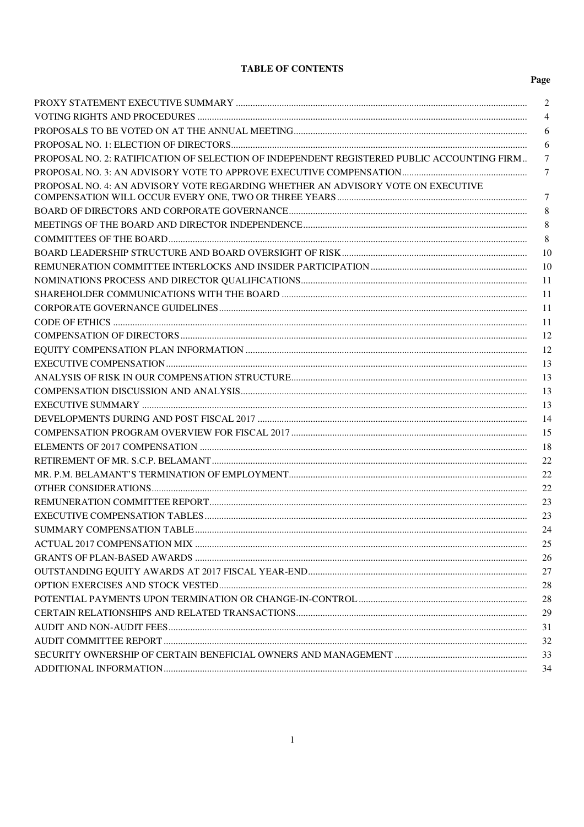## **TABLE OF CONTENTS**

|                                                                                            | 2              |
|--------------------------------------------------------------------------------------------|----------------|
|                                                                                            | $\overline{4}$ |
|                                                                                            | 6              |
|                                                                                            | 6              |
| PROPOSAL NO. 2: RATIFICATION OF SELECTION OF INDEPENDENT REGISTERED PUBLIC ACCOUNTING FIRM | 7              |
|                                                                                            | 7              |
| PROPOSAL NO. 4: AN ADVISORY VOTE REGARDING WHETHER AN ADVISORY VOTE ON EXECUTIVE           |                |
|                                                                                            | $\tau$         |
|                                                                                            | 8              |
|                                                                                            | 8              |
|                                                                                            | 8              |
|                                                                                            | 10             |
|                                                                                            | 10             |
|                                                                                            | 11             |
|                                                                                            | -11            |
|                                                                                            | -11            |
|                                                                                            | 11             |
|                                                                                            | 12             |
|                                                                                            | 12             |
|                                                                                            | 13             |
|                                                                                            | 13             |
|                                                                                            | 13             |
|                                                                                            | 13             |
|                                                                                            | 14             |
|                                                                                            | 15             |
|                                                                                            | 18             |
|                                                                                            | 22             |
|                                                                                            | 22             |
|                                                                                            | 22             |
|                                                                                            | 23             |
|                                                                                            | 23             |
| SUMMARY COMPENSATION TABLE                                                                 | 24             |
|                                                                                            | 25             |
|                                                                                            | 26             |
|                                                                                            | 27             |
|                                                                                            | 28             |
|                                                                                            | 28             |
|                                                                                            | 29             |
|                                                                                            | 31             |
|                                                                                            | 32             |
|                                                                                            | 33             |
|                                                                                            | 34             |
|                                                                                            |                |

# Page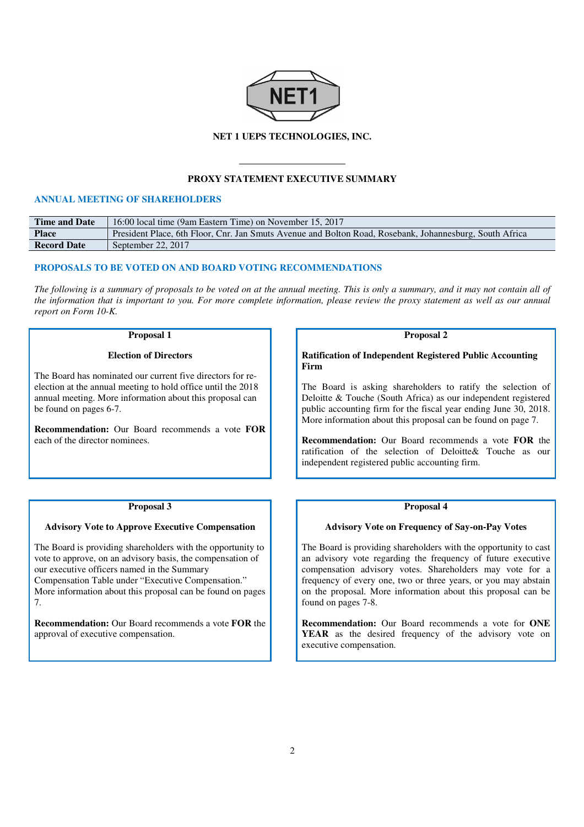

### **NET 1 UEPS TECHNOLOGIES, INC.**

## **PROXY STATEMENT EXECUTIVE SUMMARY**

## **ANNUAL MEETING OF SHAREHOLDERS**

| <b>Time and Date</b> | 16:00 local time (9am Eastern Time) on November 15, 2017                                                |
|----------------------|---------------------------------------------------------------------------------------------------------|
| <b>Place</b>         | President Place, 6th Floor, Cnr. Jan Smuts Avenue and Bolton Road, Rosebank, Johannesburg, South Africa |
| <b>Record Date</b>   | September 22, 2017                                                                                      |

## **PROPOSALS TO BE VOTED ON AND BOARD VOTING RECOMMENDATIONS**

*The following is a summary of proposals to be voted on at the annual meeting. This is only a summary, and it may not contain all of the information that is important to you. For more complete information, please review the proxy statement as well as our annual report on Form 10-K.* 

#### **Proposal 1**

#### **Election of Directors**

The Board has nominated our current five directors for reelection at the annual meeting to hold office until the 2018 annual meeting. More information about this proposal can be found on pages 6-7.

**Recommendation:** Our Board recommends a vote **FOR**  each of the director nominees.

**Proposal 2** 

**Ratification of Independent Registered Public Accounting Firm** 

The Board is asking shareholders to ratify the selection of Deloitte & Touche (South Africa) as our independent registered public accounting firm for the fiscal year ending June 30, 2018. More information about this proposal can be found on page 7.

**Recommendation:** Our Board recommends a vote **FOR** the ratification of the selection of Deloitte& Touche as our independent registered public accounting firm.

## **Proposal 4**

#### **Advisory Vote on Frequency of Say-on-Pay Votes**

The Board is providing shareholders with the opportunity to cast an advisory vote regarding the frequency of future executive compensation advisory votes. Shareholders may vote for a frequency of every one, two or three years, or you may abstain on the proposal. More information about this proposal can be found on pages 7-8.

**Recommendation:** Our Board recommends a vote for **ONE YEAR** as the desired frequency of the advisory vote on executive compensation.

#### **Proposal 3**

#### **Advisory Vote to Approve Executive Compensation**

The Board is providing shareholders with the opportunity to vote to approve, on an advisory basis, the compensation of our executive officers named in the Summary Compensation Table under "Executive Compensation." More information about this proposal can be found on pages 7.

**Recommendation:** Our Board recommends a vote **FOR** the approval of executive compensation.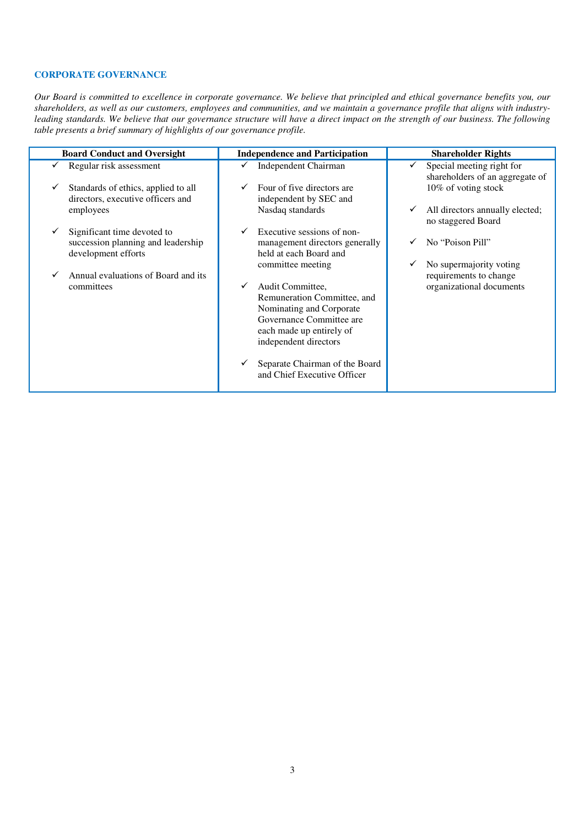## **CORPORATE GOVERNANCE**

*Our Board is committed to excellence in corporate governance. We believe that principled and ethical governance benefits you, our shareholders, as well as our customers, employees and communities, and we maintain a governance profile that aligns with industryleading standards. We believe that our governance structure will have a direct impact on the strength of our business. The following table presents a brief summary of highlights of our governance profile.* 

| <b>Board Conduct and Oversight</b>                                       | <b>Independence and Participation</b>                         | <b>Shareholder Rights</b>                                    |
|--------------------------------------------------------------------------|---------------------------------------------------------------|--------------------------------------------------------------|
| Regular risk assessment                                                  | Independent Chairman                                          | Special meeting right for<br>shareholders of an aggregate of |
| Standards of ethics, applied to all<br>directors, executive officers and | Four of five directors are<br>independent by SEC and          | 10% of voting stock                                          |
| employees                                                                | Nasdaq standards                                              | All directors annually elected;<br>v<br>no staggered Board   |
| Significant time devoted to                                              | Executive sessions of non-                                    |                                                              |
| succession planning and leadership<br>development efforts                | management directors generally<br>held at each Board and      | No "Poison Pill"                                             |
| Annual evaluations of Board and its                                      | committee meeting                                             | No supermajority voting<br>requirements to change            |
| committees                                                               | Audit Committee,<br>Remuneration Committee, and               | organizational documents                                     |
|                                                                          | Nominating and Corporate                                      |                                                              |
|                                                                          | Governance Committee are                                      |                                                              |
|                                                                          | each made up entirely of                                      |                                                              |
|                                                                          | independent directors                                         |                                                              |
|                                                                          | Separate Chairman of the Board<br>and Chief Executive Officer |                                                              |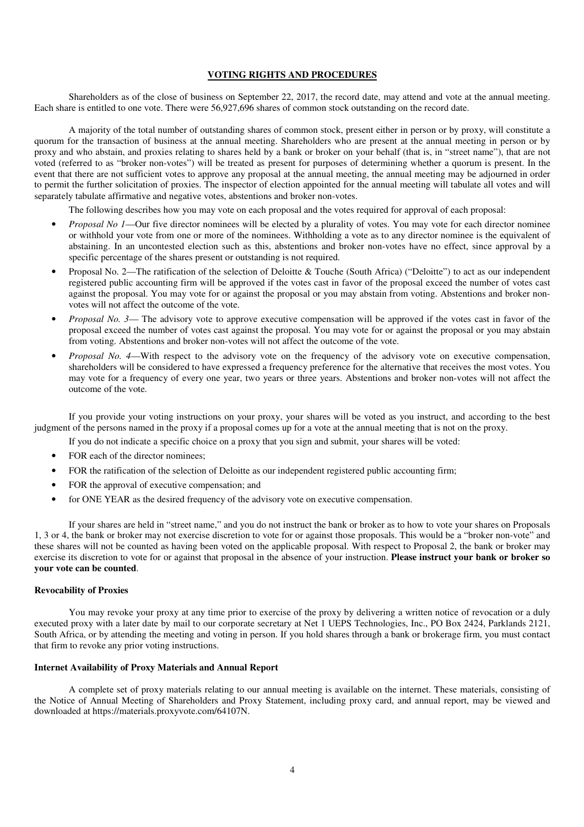## **VOTING RIGHTS AND PROCEDURES**

Shareholders as of the close of business on September 22, 2017, the record date, may attend and vote at the annual meeting. Each share is entitled to one vote. There were 56,927,696 shares of common stock outstanding on the record date.

A majority of the total number of outstanding shares of common stock, present either in person or by proxy, will constitute a quorum for the transaction of business at the annual meeting. Shareholders who are present at the annual meeting in person or by proxy and who abstain, and proxies relating to shares held by a bank or broker on your behalf (that is, in "street name"), that are not voted (referred to as "broker non-votes") will be treated as present for purposes of determining whether a quorum is present. In the event that there are not sufficient votes to approve any proposal at the annual meeting, the annual meeting may be adjourned in order to permit the further solicitation of proxies. The inspector of election appointed for the annual meeting will tabulate all votes and will separately tabulate affirmative and negative votes, abstentions and broker non-votes.

The following describes how you may vote on each proposal and the votes required for approval of each proposal:

- *Proposal No 1*—Our five director nominees will be elected by a plurality of votes. You may vote for each director nominee or withhold your vote from one or more of the nominees. Withholding a vote as to any director nominee is the equivalent of abstaining. In an uncontested election such as this, abstentions and broker non-votes have no effect, since approval by a specific percentage of the shares present or outstanding is not required.
- Proposal No. 2—The ratification of the selection of Deloitte & Touche (South Africa) ("Deloitte") to act as our independent registered public accounting firm will be approved if the votes cast in favor of the proposal exceed the number of votes cast against the proposal. You may vote for or against the proposal or you may abstain from voting. Abstentions and broker nonvotes will not affect the outcome of the vote.
- *Proposal No. 3* The advisory vote to approve executive compensation will be approved if the votes cast in favor of the proposal exceed the number of votes cast against the proposal. You may vote for or against the proposal or you may abstain from voting. Abstentions and broker non-votes will not affect the outcome of the vote.
- *Proposal No. 4*—With respect to the advisory vote on the frequency of the advisory vote on executive compensation, shareholders will be considered to have expressed a frequency preference for the alternative that receives the most votes. You may vote for a frequency of every one year, two years or three years. Abstentions and broker non-votes will not affect the outcome of the vote.

If you provide your voting instructions on your proxy, your shares will be voted as you instruct, and according to the best judgment of the persons named in the proxy if a proposal comes up for a vote at the annual meeting that is not on the proxy.

If you do not indicate a specific choice on a proxy that you sign and submit, your shares will be voted:

- FOR each of the director nominees;
- FOR the ratification of the selection of Deloitte as our independent registered public accounting firm;
- FOR the approval of executive compensation; and
- for ONE YEAR as the desired frequency of the advisory vote on executive compensation.

If your shares are held in "street name," and you do not instruct the bank or broker as to how to vote your shares on Proposals 1, 3 or 4, the bank or broker may not exercise discretion to vote for or against those proposals. This would be a "broker non-vote" and these shares will not be counted as having been voted on the applicable proposal. With respect to Proposal 2, the bank or broker may exercise its discretion to vote for or against that proposal in the absence of your instruction. **Please instruct your bank or broker so your vote can be counted**.

#### **Revocability of Proxies**

You may revoke your proxy at any time prior to exercise of the proxy by delivering a written notice of revocation or a duly executed proxy with a later date by mail to our corporate secretary at Net 1 UEPS Technologies, Inc., PO Box 2424, Parklands 2121, South Africa, or by attending the meeting and voting in person. If you hold shares through a bank or brokerage firm, you must contact that firm to revoke any prior voting instructions.

## **Internet Availability of Proxy Materials and Annual Report**

A complete set of proxy materials relating to our annual meeting is available on the internet. These materials, consisting of the Notice of Annual Meeting of Shareholders and Proxy Statement, including proxy card, and annual report, may be viewed and downloaded at https://materials.proxyvote.com/64107N.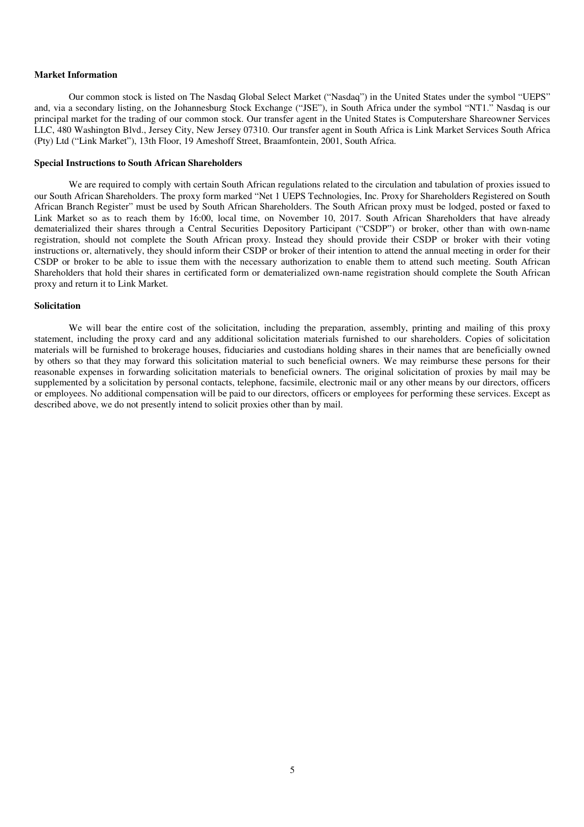## **Market Information**

Our common stock is listed on The Nasdaq Global Select Market ("Nasdaq") in the United States under the symbol "UEPS" and, via a secondary listing, on the Johannesburg Stock Exchange ("JSE"), in South Africa under the symbol "NT1." Nasdaq is our principal market for the trading of our common stock. Our transfer agent in the United States is Computershare Shareowner Services LLC, 480 Washington Blvd., Jersey City, New Jersey 07310. Our transfer agent in South Africa is Link Market Services South Africa (Pty) Ltd ("Link Market"), 13th Floor, 19 Ameshoff Street, Braamfontein, 2001, South Africa.

## **Special Instructions to South African Shareholders**

We are required to comply with certain South African regulations related to the circulation and tabulation of proxies issued to our South African Shareholders. The proxy form marked "Net 1 UEPS Technologies, Inc. Proxy for Shareholders Registered on South African Branch Register" must be used by South African Shareholders. The South African proxy must be lodged, posted or faxed to Link Market so as to reach them by 16:00, local time, on November 10, 2017. South African Shareholders that have already dematerialized their shares through a Central Securities Depository Participant ("CSDP") or broker, other than with own-name registration, should not complete the South African proxy. Instead they should provide their CSDP or broker with their voting instructions or, alternatively, they should inform their CSDP or broker of their intention to attend the annual meeting in order for their CSDP or broker to be able to issue them with the necessary authorization to enable them to attend such meeting. South African Shareholders that hold their shares in certificated form or dematerialized own-name registration should complete the South African proxy and return it to Link Market.

#### **Solicitation**

We will bear the entire cost of the solicitation, including the preparation, assembly, printing and mailing of this proxy statement, including the proxy card and any additional solicitation materials furnished to our shareholders. Copies of solicitation materials will be furnished to brokerage houses, fiduciaries and custodians holding shares in their names that are beneficially owned by others so that they may forward this solicitation material to such beneficial owners. We may reimburse these persons for their reasonable expenses in forwarding solicitation materials to beneficial owners. The original solicitation of proxies by mail may be supplemented by a solicitation by personal contacts, telephone, facsimile, electronic mail or any other means by our directors, officers or employees. No additional compensation will be paid to our directors, officers or employees for performing these services. Except as described above, we do not presently intend to solicit proxies other than by mail.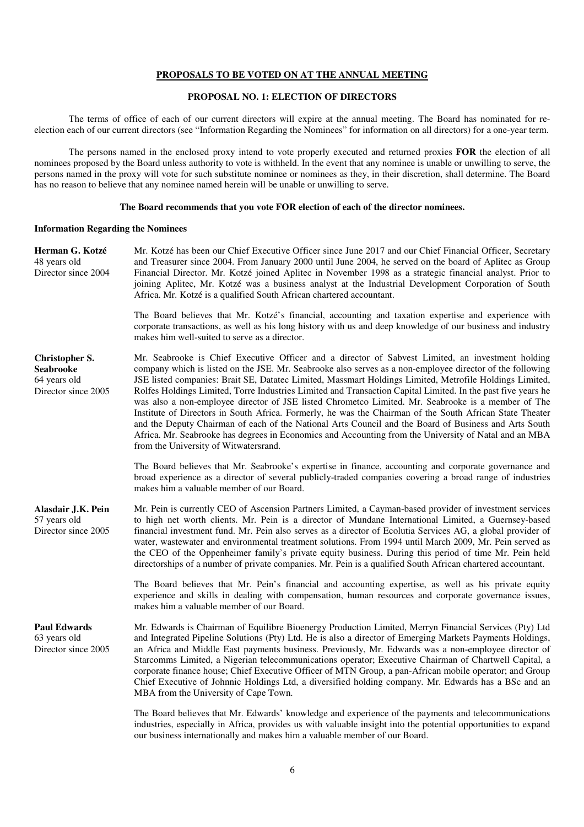#### **PROPOSALS TO BE VOTED ON AT THE ANNUAL MEETING**

## **PROPOSAL NO. 1: ELECTION OF DIRECTORS**

The terms of office of each of our current directors will expire at the annual meeting. The Board has nominated for reelection each of our current directors (see "Information Regarding the Nominees" for information on all directors) for a one-year term.

The persons named in the enclosed proxy intend to vote properly executed and returned proxies **FOR** the election of all nominees proposed by the Board unless authority to vote is withheld. In the event that any nominee is unable or unwilling to serve, the persons named in the proxy will vote for such substitute nominee or nominees as they, in their discretion, shall determine. The Board has no reason to believe that any nominee named herein will be unable or unwilling to serve.

#### **The Board recommends that you vote FOR election of each of the director nominees.**

#### **Information Regarding the Nominees**

**Herman G. Kotzé** 48 years old Director since 2004 Mr. Kotzé has been our Chief Executive Officer since June 2017 and our Chief Financial Officer, Secretary and Treasurer since 2004. From January 2000 until June 2004, he served on the board of Aplitec as Group Financial Director. Mr. Kotzé joined Aplitec in November 1998 as a strategic financial analyst. Prior to joining Aplitec, Mr. Kotzé was a business analyst at the Industrial Development Corporation of South Africa. Mr. Kotzé is a qualified South African chartered accountant.

> The Board believes that Mr. Kotzé's financial, accounting and taxation expertise and experience with corporate transactions, as well as his long history with us and deep knowledge of our business and industry makes him well-suited to serve as a director.

| <b>Christopher S.</b> | Mr. Seabrooke is Chief Executive Officer and a director of Sabvest Limited, an investment holding                                                                                                                                                                                                                                                                                                                                                                                                                                                                                         |
|-----------------------|-------------------------------------------------------------------------------------------------------------------------------------------------------------------------------------------------------------------------------------------------------------------------------------------------------------------------------------------------------------------------------------------------------------------------------------------------------------------------------------------------------------------------------------------------------------------------------------------|
| <b>Seabrooke</b>      | company which is listed on the JSE. Mr. Seabrooke also serves as a non-employee director of the following                                                                                                                                                                                                                                                                                                                                                                                                                                                                                 |
| 64 years old          | JSE listed companies: Brait SE, Datatec Limited, Massmart Holdings Limited, Metrofile Holdings Limited,                                                                                                                                                                                                                                                                                                                                                                                                                                                                                   |
| Director since 2005   | Rolfes Holdings Limited, Torre Industries Limited and Transaction Capital Limited. In the past five years he<br>was also a non-employee director of JSE listed Chrometco Limited. Mr. Seabrooke is a member of The<br>Institute of Directors in South Africa. Formerly, he was the Chairman of the South African State Theater<br>and the Deputy Chairman of each of the National Arts Council and the Board of Business and Arts South<br>Africa. Mr. Seabrooke has degrees in Economics and Accounting from the University of Natal and an MBA<br>from the University of Witwatersrand. |
|                       |                                                                                                                                                                                                                                                                                                                                                                                                                                                                                                                                                                                           |

The Board believes that Mr. Seabrooke's expertise in finance, accounting and corporate governance and broad experience as a director of several publicly-traded companies covering a broad range of industries makes him a valuable member of our Board.

**Alasdair J.K. Pein** 57 years old Director since 2005 Mr. Pein is currently CEO of Ascension Partners Limited, a Cayman-based provider of investment services to high net worth clients. Mr. Pein is a director of Mundane International Limited, a Guernsey-based financial investment fund. Mr. Pein also serves as a director of Ecolutia Services AG, a global provider of water, wastewater and environmental treatment solutions. From 1994 until March 2009, Mr. Pein served as the CEO of the Oppenheimer family's private equity business. During this period of time Mr. Pein held directorships of a number of private companies. Mr. Pein is a qualified South African chartered accountant.

> The Board believes that Mr. Pein's financial and accounting expertise, as well as his private equity experience and skills in dealing with compensation, human resources and corporate governance issues, makes him a valuable member of our Board.

## **Paul Edwards**

63 years old Director since 2005 Mr. Edwards is Chairman of Equilibre Bioenergy Production Limited, Merryn Financial Services (Pty) Ltd and Integrated Pipeline Solutions (Pty) Ltd. He is also a director of Emerging Markets Payments Holdings, an Africa and Middle East payments business. Previously, Mr. Edwards was a non-employee director of Starcomms Limited, a Nigerian telecommunications operator; Executive Chairman of Chartwell Capital, a corporate finance house; Chief Executive Officer of MTN Group, a pan-African mobile operator; and Group Chief Executive of Johnnic Holdings Ltd, a diversified holding company. Mr. Edwards has a BSc and an MBA from the University of Cape Town.

The Board believes that Mr. Edwards' knowledge and experience of the payments and telecommunications industries, especially in Africa, provides us with valuable insight into the potential opportunities to expand our business internationally and makes him a valuable member of our Board.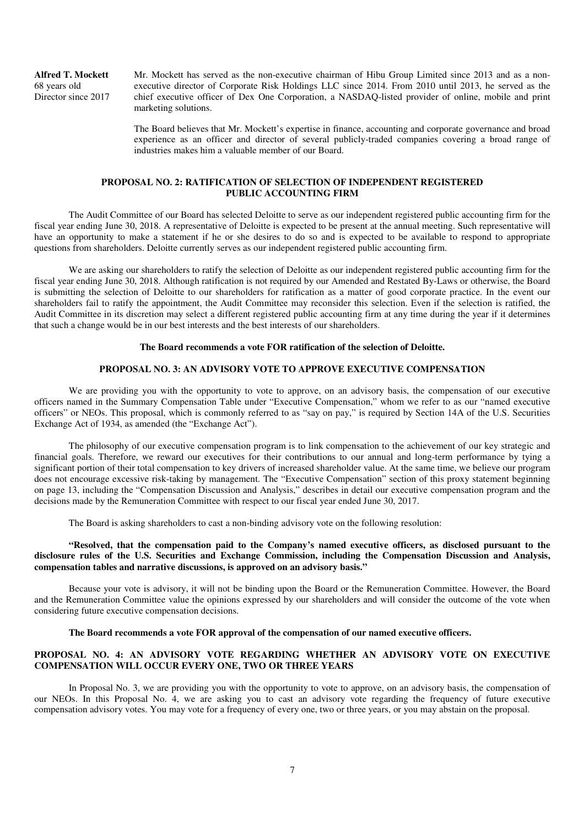**Alfred T. Mockett** 68 years old Director since 2017

Mr. Mockett has served as the non-executive chairman of Hibu Group Limited since 2013 and as a nonexecutive director of Corporate Risk Holdings LLC since 2014. From 2010 until 2013, he served as the chief executive officer of Dex One Corporation, a NASDAQ-listed provider of online, mobile and print marketing solutions.

The Board believes that Mr. Mockett's expertise in finance, accounting and corporate governance and broad experience as an officer and director of several publicly-traded companies covering a broad range of industries makes him a valuable member of our Board.

## **PROPOSAL NO. 2: RATIFICATION OF SELECTION OF INDEPENDENT REGISTERED PUBLIC ACCOUNTING FIRM**

The Audit Committee of our Board has selected Deloitte to serve as our independent registered public accounting firm for the fiscal year ending June 30, 2018. A representative of Deloitte is expected to be present at the annual meeting. Such representative will have an opportunity to make a statement if he or she desires to do so and is expected to be available to respond to appropriate questions from shareholders. Deloitte currently serves as our independent registered public accounting firm.

We are asking our shareholders to ratify the selection of Deloitte as our independent registered public accounting firm for the fiscal year ending June 30, 2018. Although ratification is not required by our Amended and Restated By-Laws or otherwise, the Board is submitting the selection of Deloitte to our shareholders for ratification as a matter of good corporate practice. In the event our shareholders fail to ratify the appointment, the Audit Committee may reconsider this selection. Even if the selection is ratified, the Audit Committee in its discretion may select a different registered public accounting firm at any time during the year if it determines that such a change would be in our best interests and the best interests of our shareholders.

#### **The Board recommends a vote FOR ratification of the selection of Deloitte.**

#### **PROPOSAL NO. 3: AN ADVISORY VOTE TO APPROVE EXECUTIVE COMPENSATION**

We are providing you with the opportunity to vote to approve, on an advisory basis, the compensation of our executive officers named in the Summary Compensation Table under "Executive Compensation," whom we refer to as our "named executive officers" or NEOs. This proposal, which is commonly referred to as "say on pay," is required by Section 14A of the U.S. Securities Exchange Act of 1934, as amended (the "Exchange Act").

The philosophy of our executive compensation program is to link compensation to the achievement of our key strategic and financial goals. Therefore, we reward our executives for their contributions to our annual and long-term performance by tying a significant portion of their total compensation to key drivers of increased shareholder value. At the same time, we believe our program does not encourage excessive risk-taking by management. The "Executive Compensation" section of this proxy statement beginning on page 13, including the "Compensation Discussion and Analysis," describes in detail our executive compensation program and the decisions made by the Remuneration Committee with respect to our fiscal year ended June 30, 2017.

The Board is asking shareholders to cast a non-binding advisory vote on the following resolution:

## **"Resolved, that the compensation paid to the Company's named executive officers, as disclosed pursuant to the disclosure rules of the U.S. Securities and Exchange Commission, including the Compensation Discussion and Analysis, compensation tables and narrative discussions, is approved on an advisory basis."**

Because your vote is advisory, it will not be binding upon the Board or the Remuneration Committee. However, the Board and the Remuneration Committee value the opinions expressed by our shareholders and will consider the outcome of the vote when considering future executive compensation decisions.

#### **The Board recommends a vote FOR approval of the compensation of our named executive officers.**

## **PROPOSAL NO. 4: AN ADVISORY VOTE REGARDING WHETHER AN ADVISORY VOTE ON EXECUTIVE COMPENSATION WILL OCCUR EVERY ONE, TWO OR THREE YEARS**

In Proposal No. 3, we are providing you with the opportunity to vote to approve, on an advisory basis, the compensation of our NEOs. In this Proposal No. 4, we are asking you to cast an advisory vote regarding the frequency of future executive compensation advisory votes. You may vote for a frequency of every one, two or three years, or you may abstain on the proposal.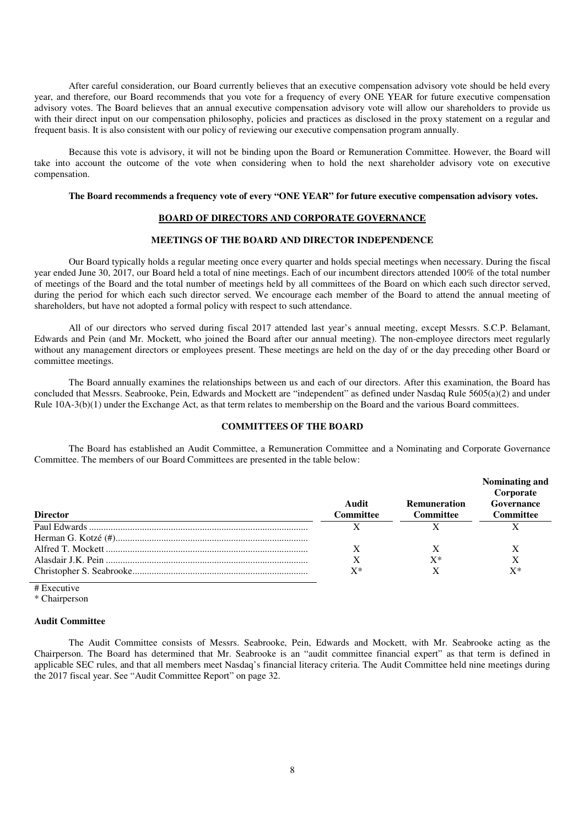After careful consideration, our Board currently believes that an executive compensation advisory vote should be held every year, and therefore, our Board recommends that you vote for a frequency of every ONE YEAR for future executive compensation advisory votes. The Board believes that an annual executive compensation advisory vote will allow our shareholders to provide us with their direct input on our compensation philosophy, policies and practices as disclosed in the proxy statement on a regular and frequent basis. It is also consistent with our policy of reviewing our executive compensation program annually.

Because this vote is advisory, it will not be binding upon the Board or Remuneration Committee. However, the Board will take into account the outcome of the vote when considering when to hold the next shareholder advisory vote on executive compensation.

#### **The Board recommends a frequency vote of every "ONE YEAR" for future executive compensation advisory votes.**

#### **BOARD OF DIRECTORS AND CORPORATE GOVERNANCE**

#### **MEETINGS OF THE BOARD AND DIRECTOR INDEPENDENCE**

Our Board typically holds a regular meeting once every quarter and holds special meetings when necessary. During the fiscal year ended June 30, 2017, our Board held a total of nine meetings. Each of our incumbent directors attended 100% of the total number of meetings of the Board and the total number of meetings held by all committees of the Board on which each such director served, during the period for which each such director served. We encourage each member of the Board to attend the annual meeting of shareholders, but have not adopted a formal policy with respect to such attendance.

All of our directors who served during fiscal 2017 attended last year's annual meeting, except Messrs. S.C.P. Belamant, Edwards and Pein (and Mr. Mockett, who joined the Board after our annual meeting). The non-employee directors meet regularly without any management directors or employees present. These meetings are held on the day of or the day preceding other Board or committee meetings.

The Board annually examines the relationships between us and each of our directors. After this examination, the Board has concluded that Messrs. Seabrooke, Pein, Edwards and Mockett are "independent" as defined under Nasdaq Rule 5605(a)(2) and under Rule 10A-3(b)(1) under the Exchange Act, as that term relates to membership on the Board and the various Board committees.

## **COMMITTEES OF THE BOARD**

The Board has established an Audit Committee, a Remuneration Committee and a Nominating and Corporate Governance Committee. The members of our Board Committees are presented in the table below:

|                 |                           |                                         | Nominating and<br>Corporate |
|-----------------|---------------------------|-----------------------------------------|-----------------------------|
| <b>Director</b> | Audit<br><b>Committee</b> | <b>Remuneration</b><br><b>Committee</b> | Governance<br>Committee     |
|                 |                           |                                         |                             |
|                 |                           |                                         |                             |
|                 |                           |                                         |                             |
|                 |                           | $X^*$                                   |                             |
|                 | X*                        |                                         | x*                          |

# Executive

\* Chairperson

#### **Audit Committee**

The Audit Committee consists of Messrs. Seabrooke, Pein, Edwards and Mockett, with Mr. Seabrooke acting as the Chairperson. The Board has determined that Mr. Seabrooke is an "audit committee financial expert" as that term is defined in applicable SEC rules, and that all members meet Nasdaq's financial literacy criteria. The Audit Committee held nine meetings during the 2017 fiscal year. See "Audit Committee Report" on page 32.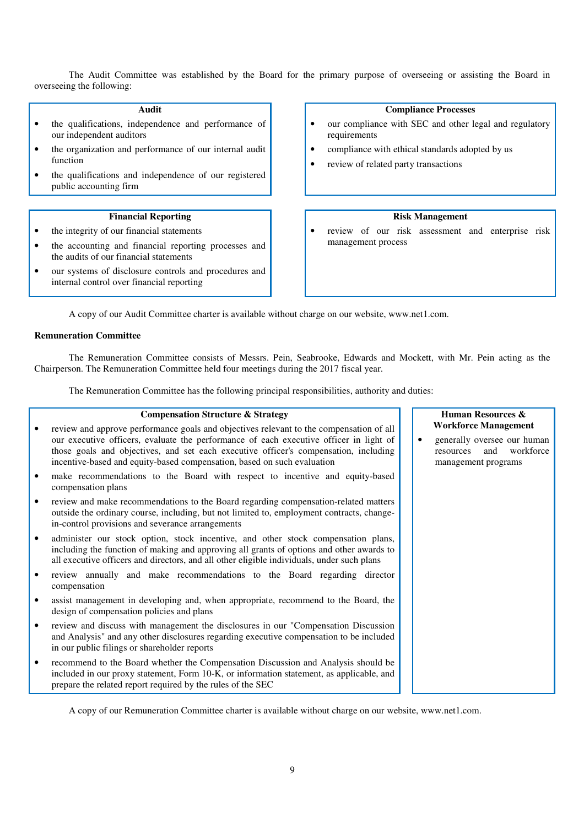The Audit Committee was established by the Board for the primary purpose of overseeing or assisting the Board in overseeing the following:

### **Audit**

- the qualifications, independence and performance of our independent auditors
- the organization and performance of our internal audit function
- the qualifications and independence of our registered public accounting firm

#### **Financial Reporting**

- the integrity of our financial statements
- the accounting and financial reporting processes and the audits of our financial statements
- our systems of disclosure controls and procedures and internal control over financial reporting

### **Compliance Processes**

- our compliance with SEC and other legal and regulatory requirements
- compliance with ethical standards adopted by us
- review of related party transactions

## **Risk Management**

• review of our risk assessment and enterprise risk management process

A copy of our Audit Committee charter is available without charge on our website, www.net1.com.

#### **Remuneration Committee**

The Remuneration Committee consists of Messrs. Pein, Seabrooke, Edwards and Mockett, with Mr. Pein acting as the Chairperson. The Remuneration Committee held four meetings during the 2017 fiscal year.

The Remuneration Committee has the following principal responsibilities, authority and duties:

## **Compensation Structure & Strategy**  • review and approve performance goals and objectives relevant to the compensation of all our executive officers, evaluate the performance of each executive officer in light of those goals and objectives, and set each executive officer's compensation, including incentive-based and equity-based compensation, based on such evaluation • make recommendations to the Board with respect to incentive and equity-based compensation plans • review and make recommendations to the Board regarding compensation-related matters outside the ordinary course, including, but not limited to, employment contracts, changein-control provisions and severance arrangements • administer our stock option, stock incentive, and other stock compensation plans, including the function of making and approving all grants of options and other awards to all executive officers and directors, and all other eligible individuals, under such plans • review annually and make recommendations to the Board regarding director compensation • assist management in developing and, when appropriate, recommend to the Board, the design of compensation policies and plans • review and discuss with management the disclosures in our "Compensation Discussion and Analysis" and any other disclosures regarding executive compensation to be included in our public filings or shareholder reports • recommend to the Board whether the Compensation Discussion and Analysis should be

included in our proxy statement, Form 10-K, or information statement, as applicable, and

prepare the related report required by the rules of the SEC

A copy of our Remuneration Committee charter is available without charge on our website, www.net1.com.

#### **Human Resources & Workforce Management**

• generally oversee our human resources and workforce management programs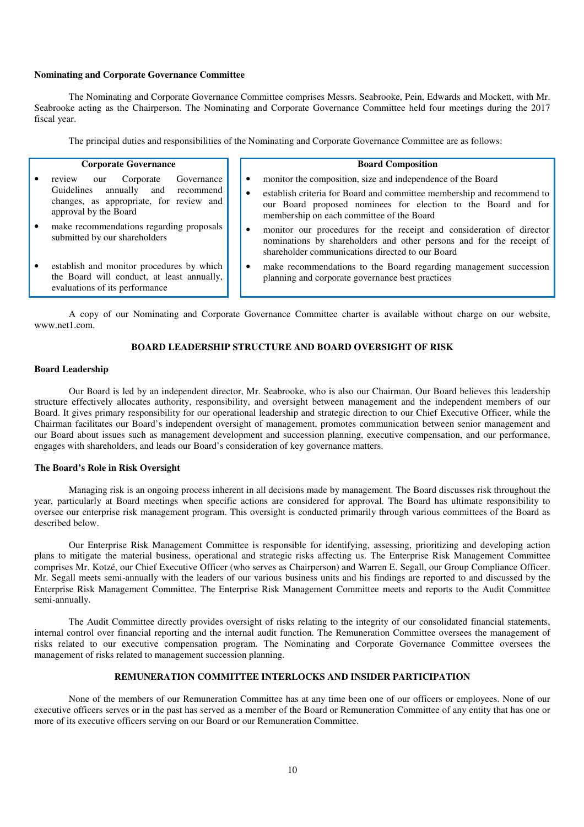## **Nominating and Corporate Governance Committee**

The Nominating and Corporate Governance Committee comprises Messrs. Seabrooke, Pein, Edwards and Mockett, with Mr. Seabrooke acting as the Chairperson. The Nominating and Corporate Governance Committee held four meetings during the 2017 fiscal year.

The principal duties and responsibilities of the Nominating and Corporate Governance Committee are as follows:

#### **Corporate Governance**

- review our Corporate Governance Guidelines annually and recommend changes, as appropriate, for review and approval by the Board
- make recommendations regarding proposals submitted by our shareholders
- establish and monitor procedures by which the Board will conduct, at least annually, evaluations of its performance

#### **Board Composition**

- monitor the composition, size and independence of the Board
- establish criteria for Board and committee membership and recommend to our Board proposed nominees for election to the Board and for membership on each committee of the Board
- monitor our procedures for the receipt and consideration of director nominations by shareholders and other persons and for the receipt of shareholder communications directed to our Board
- make recommendations to the Board regarding management succession planning and corporate governance best practices

A copy of our Nominating and Corporate Governance Committee charter is available without charge on our website, www.net1.com.

#### **BOARD LEADERSHIP STRUCTURE AND BOARD OVERSIGHT OF RISK**

## **Board Leadership**

Our Board is led by an independent director, Mr. Seabrooke, who is also our Chairman. Our Board believes this leadership structure effectively allocates authority, responsibility, and oversight between management and the independent members of our Board. It gives primary responsibility for our operational leadership and strategic direction to our Chief Executive Officer, while the Chairman facilitates our Board's independent oversight of management, promotes communication between senior management and our Board about issues such as management development and succession planning, executive compensation, and our performance, engages with shareholders, and leads our Board's consideration of key governance matters.

#### **The Board's Role in Risk Oversight**

Managing risk is an ongoing process inherent in all decisions made by management. The Board discusses risk throughout the year, particularly at Board meetings when specific actions are considered for approval. The Board has ultimate responsibility to oversee our enterprise risk management program. This oversight is conducted primarily through various committees of the Board as described below.

Our Enterprise Risk Management Committee is responsible for identifying, assessing, prioritizing and developing action plans to mitigate the material business, operational and strategic risks affecting us. The Enterprise Risk Management Committee comprises Mr. Kotzé, our Chief Executive Officer (who serves as Chairperson) and Warren E. Segall, our Group Compliance Officer. Mr. Segall meets semi-annually with the leaders of our various business units and his findings are reported to and discussed by the Enterprise Risk Management Committee. The Enterprise Risk Management Committee meets and reports to the Audit Committee semi-annually.

The Audit Committee directly provides oversight of risks relating to the integrity of our consolidated financial statements, internal control over financial reporting and the internal audit function. The Remuneration Committee oversees the management of risks related to our executive compensation program. The Nominating and Corporate Governance Committee oversees the management of risks related to management succession planning.

## **REMUNERATION COMMITTEE INTERLOCKS AND INSIDER PARTICIPATION**

None of the members of our Remuneration Committee has at any time been one of our officers or employees. None of our executive officers serves or in the past has served as a member of the Board or Remuneration Committee of any entity that has one or more of its executive officers serving on our Board or our Remuneration Committee.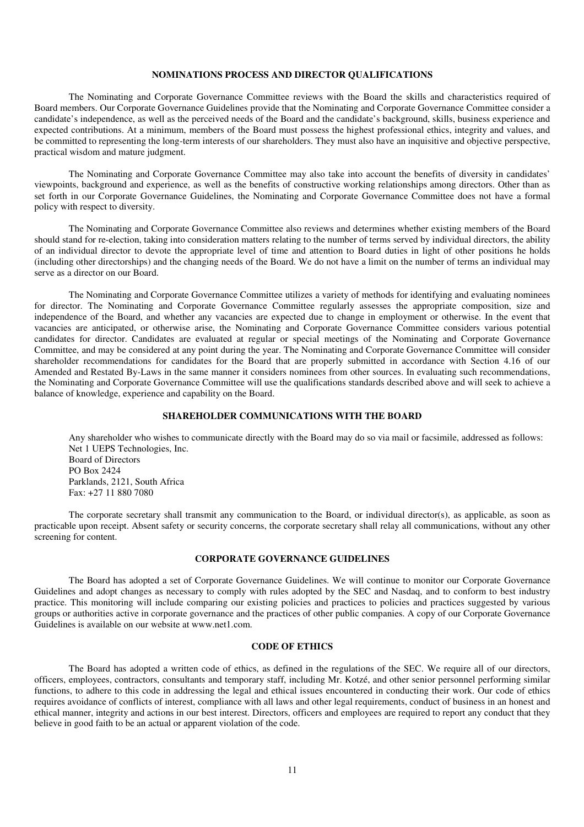## **NOMINATIONS PROCESS AND DIRECTOR QUALIFICATIONS**

The Nominating and Corporate Governance Committee reviews with the Board the skills and characteristics required of Board members. Our Corporate Governance Guidelines provide that the Nominating and Corporate Governance Committee consider a candidate's independence, as well as the perceived needs of the Board and the candidate's background, skills, business experience and expected contributions. At a minimum, members of the Board must possess the highest professional ethics, integrity and values, and be committed to representing the long-term interests of our shareholders. They must also have an inquisitive and objective perspective, practical wisdom and mature judgment.

The Nominating and Corporate Governance Committee may also take into account the benefits of diversity in candidates' viewpoints, background and experience, as well as the benefits of constructive working relationships among directors. Other than as set forth in our Corporate Governance Guidelines, the Nominating and Corporate Governance Committee does not have a formal policy with respect to diversity.

The Nominating and Corporate Governance Committee also reviews and determines whether existing members of the Board should stand for re-election, taking into consideration matters relating to the number of terms served by individual directors, the ability of an individual director to devote the appropriate level of time and attention to Board duties in light of other positions he holds (including other directorships) and the changing needs of the Board. We do not have a limit on the number of terms an individual may serve as a director on our Board.

The Nominating and Corporate Governance Committee utilizes a variety of methods for identifying and evaluating nominees for director. The Nominating and Corporate Governance Committee regularly assesses the appropriate composition, size and independence of the Board, and whether any vacancies are expected due to change in employment or otherwise. In the event that vacancies are anticipated, or otherwise arise, the Nominating and Corporate Governance Committee considers various potential candidates for director. Candidates are evaluated at regular or special meetings of the Nominating and Corporate Governance Committee, and may be considered at any point during the year. The Nominating and Corporate Governance Committee will consider shareholder recommendations for candidates for the Board that are properly submitted in accordance with Section 4.16 of our Amended and Restated By-Laws in the same manner it considers nominees from other sources. In evaluating such recommendations, the Nominating and Corporate Governance Committee will use the qualifications standards described above and will seek to achieve a balance of knowledge, experience and capability on the Board.

## **SHAREHOLDER COMMUNICATIONS WITH THE BOARD**

Any shareholder who wishes to communicate directly with the Board may do so via mail or facsimile, addressed as follows: Net 1 UEPS Technologies, Inc. Board of Directors PO Box 2424 Parklands, 2121, South Africa Fax: +27 11 880 7080

The corporate secretary shall transmit any communication to the Board, or individual director(s), as applicable, as soon as practicable upon receipt. Absent safety or security concerns, the corporate secretary shall relay all communications, without any other screening for content.

## **CORPORATE GOVERNANCE GUIDELINES**

The Board has adopted a set of Corporate Governance Guidelines. We will continue to monitor our Corporate Governance Guidelines and adopt changes as necessary to comply with rules adopted by the SEC and Nasdaq, and to conform to best industry practice. This monitoring will include comparing our existing policies and practices to policies and practices suggested by various groups or authorities active in corporate governance and the practices of other public companies. A copy of our Corporate Governance Guidelines is available on our website at www.net1.com.

## **CODE OF ETHICS**

The Board has adopted a written code of ethics, as defined in the regulations of the SEC. We require all of our directors, officers, employees, contractors, consultants and temporary staff, including Mr. Kotzé, and other senior personnel performing similar functions, to adhere to this code in addressing the legal and ethical issues encountered in conducting their work. Our code of ethics requires avoidance of conflicts of interest, compliance with all laws and other legal requirements, conduct of business in an honest and ethical manner, integrity and actions in our best interest. Directors, officers and employees are required to report any conduct that they believe in good faith to be an actual or apparent violation of the code.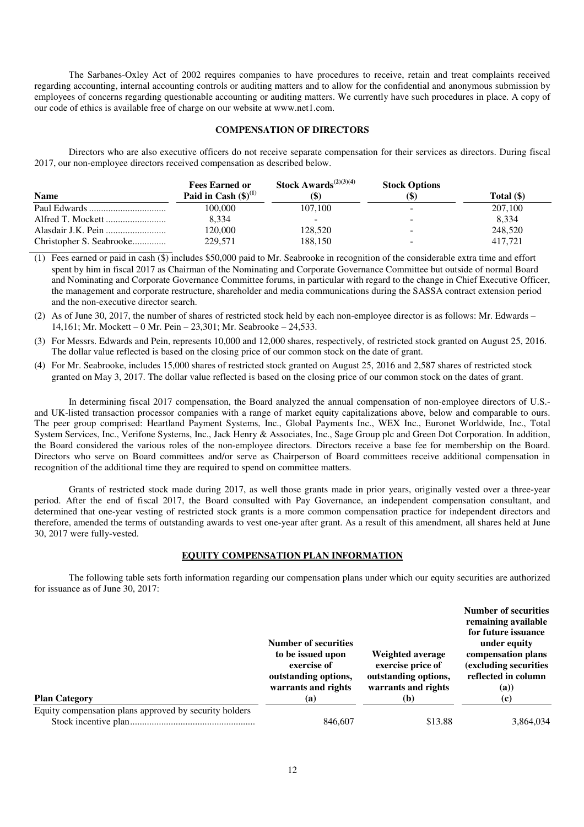The Sarbanes-Oxley Act of 2002 requires companies to have procedures to receive, retain and treat complaints received regarding accounting, internal accounting controls or auditing matters and to allow for the confidential and anonymous submission by employees of concerns regarding questionable accounting or auditing matters. We currently have such procedures in place. A copy of our code of ethics is available free of charge on our website at www.net1.com.

## **COMPENSATION OF DIRECTORS**

Directors who are also executive officers do not receive separate compensation for their services as directors. During fiscal 2017, our non-employee directors received compensation as described below.

|                          | <b>Fees Earned or</b>     | <b>Stock Awards</b> <sup><math>(2)(3)(4)</math></sup> | <b>Stock Options</b>         |            |
|--------------------------|---------------------------|-------------------------------------------------------|------------------------------|------------|
| <b>Name</b>              | Paid in Cash $(\$)^{(1)}$ | lΨ                                                    | $\left( \mathsf{\$} \right)$ | Total (\$) |
|                          | 100,000                   | 107.100                                               | -                            | 207,100    |
|                          | 8.334                     |                                                       | $\overline{\phantom{a}}$     | 8.334      |
|                          | 120.000                   | 128,520                                               | -                            | 248,520    |
| Christopher S. Seabrooke | 229.571                   | 188.150                                               | -                            | 417.721    |

(1) Fees earned or paid in cash (\$) includes \$50,000 paid to Mr. Seabrooke in recognition of the considerable extra time and effort spent by him in fiscal 2017 as Chairman of the Nominating and Corporate Governance Committee but outside of normal Board and Nominating and Corporate Governance Committee forums, in particular with regard to the change in Chief Executive Officer, the management and corporate restructure, shareholder and media communications during the SASSA contract extension period and the non-executive director search.

- (3) For Messrs. Edwards and Pein, represents 10,000 and 12,000 shares, respectively, of restricted stock granted on August 25, 2016. The dollar value reflected is based on the closing price of our common stock on the date of grant.
- (4) For Mr. Seabrooke, includes 15,000 shares of restricted stock granted on August 25, 2016 and 2,587 shares of restricted stock granted on May 3, 2017. The dollar value reflected is based on the closing price of our common stock on the dates of grant.

In determining fiscal 2017 compensation, the Board analyzed the annual compensation of non-employee directors of U.S. and UK-listed transaction processor companies with a range of market equity capitalizations above, below and comparable to ours. The peer group comprised: Heartland Payment Systems, Inc., Global Payments Inc., WEX Inc., Euronet Worldwide, Inc., Total System Services, Inc., Verifone Systems, Inc., Jack Henry & Associates, Inc., Sage Group plc and Green Dot Corporation. In addition, the Board considered the various roles of the non-employee directors. Directors receive a base fee for membership on the Board. Directors who serve on Board committees and/or serve as Chairperson of Board committees receive additional compensation in recognition of the additional time they are required to spend on committee matters.

Grants of restricted stock made during 2017, as well those grants made in prior years, originally vested over a three-year period. After the end of fiscal 2017, the Board consulted with Pay Governance, an independent compensation consultant, and determined that one-year vesting of restricted stock grants is a more common compensation practice for independent directors and therefore, amended the terms of outstanding awards to vest one-year after grant. As a result of this amendment, all shares held at June 30, 2017 were fully-vested.

## **EQUITY COMPENSATION PLAN INFORMATION**

The following table sets forth information regarding our compensation plans under which our equity securities are authorized for issuance as of June 30, 2017:

|                                                        | <b>Number of securities</b><br>to be issued upon<br>exercise of<br>outstanding options,<br>warrants and rights | Weighted average<br>exercise price of<br>outstanding options,<br>warrants and rights | <b>Number of securities</b><br>remaining available<br>for future issuance<br>under equity<br>compensation plans<br>(excluding securities<br>reflected in column<br>(a) |
|--------------------------------------------------------|----------------------------------------------------------------------------------------------------------------|--------------------------------------------------------------------------------------|------------------------------------------------------------------------------------------------------------------------------------------------------------------------|
| <b>Plan Category</b>                                   | (a)                                                                                                            | (b)                                                                                  | (c)                                                                                                                                                                    |
| Equity compensation plans approved by security holders | 846,607                                                                                                        | \$13.88                                                                              | 3,864,034                                                                                                                                                              |

<sup>(2)</sup> As of June 30, 2017, the number of shares of restricted stock held by each non-employee director is as follows: Mr. Edwards – 14,161; Mr. Mockett – 0 Mr. Pein – 23,301; Mr. Seabrooke – 24,533.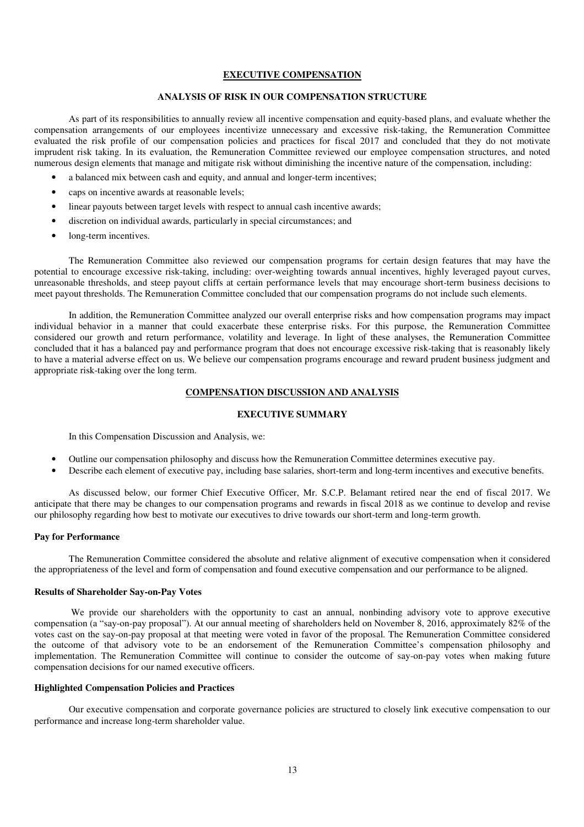#### **EXECUTIVE COMPENSATION**

## **ANALYSIS OF RISK IN OUR COMPENSATION STRUCTURE**

As part of its responsibilities to annually review all incentive compensation and equity-based plans, and evaluate whether the compensation arrangements of our employees incentivize unnecessary and excessive risk-taking, the Remuneration Committee evaluated the risk profile of our compensation policies and practices for fiscal 2017 and concluded that they do not motivate imprudent risk taking. In its evaluation, the Remuneration Committee reviewed our employee compensation structures, and noted numerous design elements that manage and mitigate risk without diminishing the incentive nature of the compensation, including:

- a balanced mix between cash and equity, and annual and longer-term incentives;
- caps on incentive awards at reasonable levels;
- linear payouts between target levels with respect to annual cash incentive awards;
- discretion on individual awards, particularly in special circumstances; and
- long-term incentives.

The Remuneration Committee also reviewed our compensation programs for certain design features that may have the potential to encourage excessive risk-taking, including: over-weighting towards annual incentives, highly leveraged payout curves, unreasonable thresholds, and steep payout cliffs at certain performance levels that may encourage short-term business decisions to meet payout thresholds. The Remuneration Committee concluded that our compensation programs do not include such elements.

In addition, the Remuneration Committee analyzed our overall enterprise risks and how compensation programs may impact individual behavior in a manner that could exacerbate these enterprise risks. For this purpose, the Remuneration Committee considered our growth and return performance, volatility and leverage. In light of these analyses, the Remuneration Committee concluded that it has a balanced pay and performance program that does not encourage excessive risk-taking that is reasonably likely to have a material adverse effect on us. We believe our compensation programs encourage and reward prudent business judgment and appropriate risk-taking over the long term.

## **COMPENSATION DISCUSSION AND ANALYSIS**

## **EXECUTIVE SUMMARY**

In this Compensation Discussion and Analysis, we:

- Outline our compensation philosophy and discuss how the Remuneration Committee determines executive pay.
- Describe each element of executive pay, including base salaries, short-term and long-term incentives and executive benefits.

 As discussed below, our former Chief Executive Officer, Mr. S.C.P. Belamant retired near the end of fiscal 2017. We anticipate that there may be changes to our compensation programs and rewards in fiscal 2018 as we continue to develop and revise our philosophy regarding how best to motivate our executives to drive towards our short-term and long-term growth.

## **Pay for Performance**

 The Remuneration Committee considered the absolute and relative alignment of executive compensation when it considered the appropriateness of the level and form of compensation and found executive compensation and our performance to be aligned.

#### **Results of Shareholder Say-on-Pay Votes**

We provide our shareholders with the opportunity to cast an annual, nonbinding advisory vote to approve executive compensation (a "say-on-pay proposal"). At our annual meeting of shareholders held on November 8, 2016, approximately 82% of the votes cast on the say-on-pay proposal at that meeting were voted in favor of the proposal. The Remuneration Committee considered the outcome of that advisory vote to be an endorsement of the Remuneration Committee's compensation philosophy and implementation. The Remuneration Committee will continue to consider the outcome of say-on-pay votes when making future compensation decisions for our named executive officers.

## **Highlighted Compensation Policies and Practices**

 Our executive compensation and corporate governance policies are structured to closely link executive compensation to our performance and increase long-term shareholder value.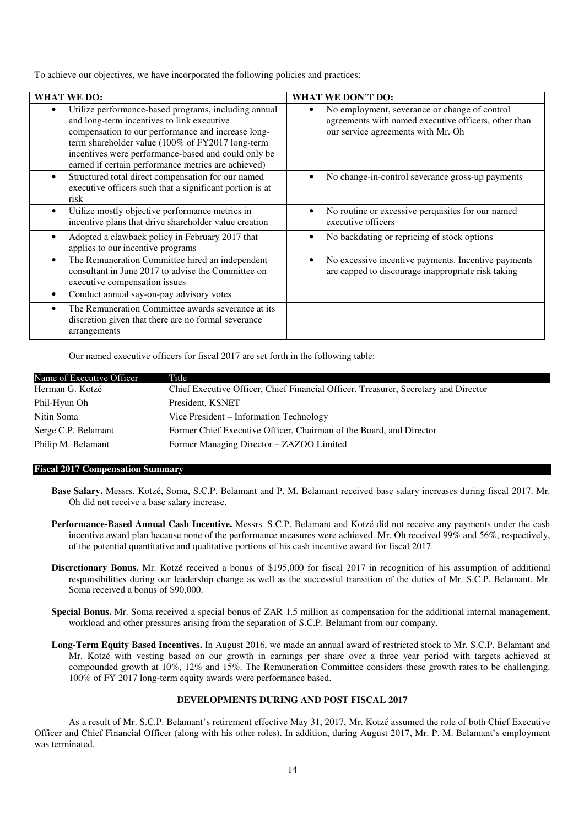To achieve our objectives, we have incorporated the following policies and practices:

| <b>WHAT WE DO:</b>                                                                                                                                                                                                                                                                                                              | <b>WHAT WE DON'T DO:</b>                                                                                                                    |
|---------------------------------------------------------------------------------------------------------------------------------------------------------------------------------------------------------------------------------------------------------------------------------------------------------------------------------|---------------------------------------------------------------------------------------------------------------------------------------------|
| Utilize performance-based programs, including annual<br>٠<br>and long-term incentives to link executive<br>compensation to our performance and increase long-<br>term shareholder value (100% of FY2017 long-term<br>incentives were performance-based and could only be<br>earned if certain performance metrics are achieved) | No employment, severance or change of control<br>agreements with named executive officers, other than<br>our service agreements with Mr. Oh |
| Structured total direct compensation for our named<br>$\bullet$<br>executive officers such that a significant portion is at<br>risk                                                                                                                                                                                             | No change-in-control severance gross-up payments                                                                                            |
| Utilize mostly objective performance metrics in<br>$\bullet$<br>incentive plans that drive shareholder value creation                                                                                                                                                                                                           | No routine or excessive perquisites for our named<br>executive officers                                                                     |
| Adopted a clawback policy in February 2017 that<br>$\bullet$<br>applies to our incentive programs                                                                                                                                                                                                                               | No backdating or repricing of stock options                                                                                                 |
| The Remuneration Committee hired an independent<br>$\bullet$<br>consultant in June 2017 to advise the Committee on<br>executive compensation issues                                                                                                                                                                             | No excessive incentive payments. Incentive payments<br>are capped to discourage inappropriate risk taking                                   |
| Conduct annual say-on-pay advisory votes                                                                                                                                                                                                                                                                                        |                                                                                                                                             |
| The Remuneration Committee awards severance at its<br>٠<br>discretion given that there are no formal severance<br>arrangements                                                                                                                                                                                                  |                                                                                                                                             |

Our named executive officers for fiscal 2017 are set forth in the following table:

| Name of Executive Officer | Title                                                                               |
|---------------------------|-------------------------------------------------------------------------------------|
| Herman G. Kotzé           | Chief Executive Officer, Chief Financial Officer, Treasurer, Secretary and Director |
| Phil-Hyun Oh              | President, KSNET                                                                    |
| Nitin Soma                | Vice President – Information Technology                                             |
| Serge C.P. Belamant       | Former Chief Executive Officer, Chairman of the Board, and Director                 |
| Philip M. Belamant        | Former Managing Director – ZAZOO Limited                                            |

#### **Fiscal 2017 Compensation Summary**

- **Base Salary.** Messrs. Kotzé, Soma, S.C.P. Belamant and P. M. Belamant received base salary increases during fiscal 2017. Mr. Oh did not receive a base salary increase.
- **Performance-Based Annual Cash Incentive.** Messrs. S.C.P. Belamant and Kotzé did not receive any payments under the cash incentive award plan because none of the performance measures were achieved. Mr. Oh received 99% and 56%, respectively, of the potential quantitative and qualitative portions of his cash incentive award for fiscal 2017.
- **Discretionary Bonus.** Mr. Kotzé received a bonus of \$195,000 for fiscal 2017 in recognition of his assumption of additional responsibilities during our leadership change as well as the successful transition of the duties of Mr. S.C.P. Belamant. Mr. Soma received a bonus of \$90,000.
- **Special Bonus.** Mr. Soma received a special bonus of ZAR 1.5 million as compensation for the additional internal management, workload and other pressures arising from the separation of S.C.P. Belamant from our company.
- **Long-Term Equity Based Incentives.** In August 2016, we made an annual award of restricted stock to Mr. S.C.P. Belamant and Mr. Kotzé with vesting based on our growth in earnings per share over a three year period with targets achieved at compounded growth at 10%, 12% and 15%. The Remuneration Committee considers these growth rates to be challenging. 100% of FY 2017 long-term equity awards were performance based.

#### **DEVELOPMENTS DURING AND POST FISCAL 2017**

As a result of Mr. S.C.P. Belamant's retirement effective May 31, 2017, Mr. Kotzé assumed the role of both Chief Executive Officer and Chief Financial Officer (along with his other roles). In addition, during August 2017, Mr. P. M. Belamant's employment was terminated.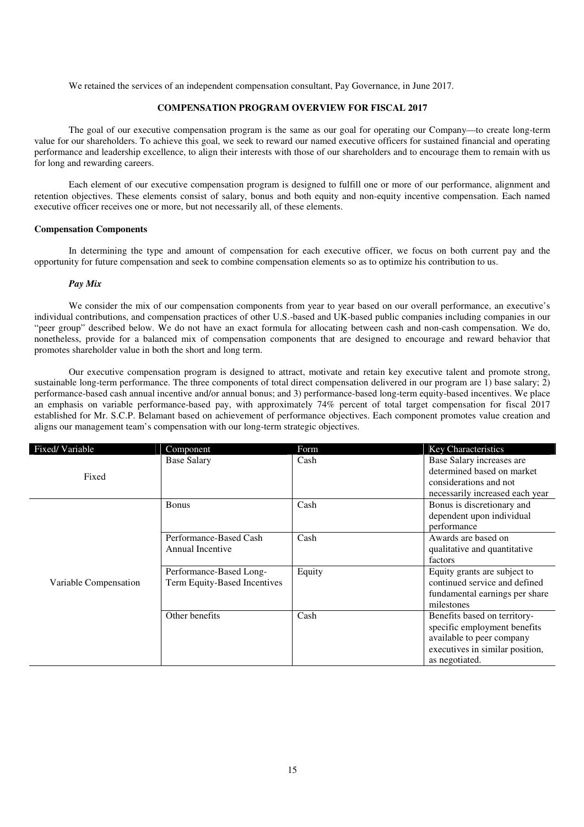We retained the services of an independent compensation consultant, Pay Governance, in June 2017.

## **COMPENSATION PROGRAM OVERVIEW FOR FISCAL 2017**

The goal of our executive compensation program is the same as our goal for operating our Company—to create long-term value for our shareholders. To achieve this goal, we seek to reward our named executive officers for sustained financial and operating performance and leadership excellence, to align their interests with those of our shareholders and to encourage them to remain with us for long and rewarding careers.

Each element of our executive compensation program is designed to fulfill one or more of our performance, alignment and retention objectives. These elements consist of salary, bonus and both equity and non-equity incentive compensation. Each named executive officer receives one or more, but not necessarily all, of these elements.

#### **Compensation Components**

In determining the type and amount of compensation for each executive officer, we focus on both current pay and the opportunity for future compensation and seek to combine compensation elements so as to optimize his contribution to us.

#### *Pay Mix*

We consider the mix of our compensation components from year to year based on our overall performance, an executive's individual contributions, and compensation practices of other U.S.-based and UK-based public companies including companies in our "peer group" described below. We do not have an exact formula for allocating between cash and non-cash compensation. We do, nonetheless, provide for a balanced mix of compensation components that are designed to encourage and reward behavior that promotes shareholder value in both the short and long term.

Our executive compensation program is designed to attract, motivate and retain key executive talent and promote strong, sustainable long-term performance. The three components of total direct compensation delivered in our program are 1) base salary; 2) performance-based cash annual incentive and/or annual bonus; and 3) performance-based long-term equity-based incentives. We place an emphasis on variable performance-based pay, with approximately 74% percent of total target compensation for fiscal 2017 established for Mr. S.C.P. Belamant based on achievement of performance objectives. Each component promotes value creation and aligns our management team's compensation with our long-term strategic objectives.

| Fixed/Variable        | Component                    | Form   | Key Characteristics             |
|-----------------------|------------------------------|--------|---------------------------------|
|                       | <b>Base Salary</b>           | Cash   | Base Salary increases are       |
| Fixed                 |                              |        | determined based on market      |
|                       |                              |        | considerations and not          |
|                       |                              |        | necessarily increased each year |
|                       | <b>Bonus</b>                 | Cash   | Bonus is discretionary and      |
|                       |                              |        | dependent upon individual       |
|                       |                              |        | performance                     |
|                       | Performance-Based Cash       | Cash   | Awards are based on             |
|                       | Annual Incentive             |        | qualitative and quantitative    |
|                       |                              |        | factors                         |
|                       | Performance-Based Long-      | Equity | Equity grants are subject to    |
| Variable Compensation | Term Equity-Based Incentives |        | continued service and defined   |
|                       |                              |        | fundamental earnings per share  |
|                       |                              |        | milestones                      |
|                       | Other benefits               | Cash   | Benefits based on territory-    |
|                       |                              |        | specific employment benefits    |
|                       |                              |        | available to peer company       |
|                       |                              |        | executives in similar position, |
|                       |                              |        | as negotiated.                  |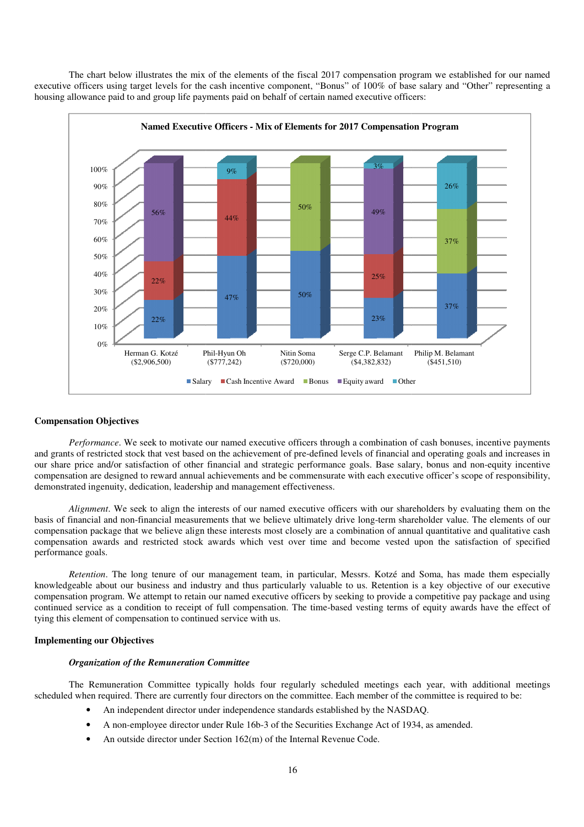The chart below illustrates the mix of the elements of the fiscal 2017 compensation program we established for our named executive officers using target levels for the cash incentive component, "Bonus" of 100% of base salary and "Other" representing a housing allowance paid to and group life payments paid on behalf of certain named executive officers:



#### **Compensation Objectives**

Performance. We seek to motivate our named executive officers through a combination of cash bonuses, incentive payments and grants of restricted stock that vest based on the achievement of pre-defined levels of financial and operating goals and increases in our share price and/or satisfaction of other financial and strategic performance goals. Base salary, bonus and non-equity incentive compensation are designed to reward annual achievements and be commensurate with each executive officer's scope of responsibility, demonstrated ingenuity, dedication, leadership and management effectiveness. our share price and/or satisfaction of other financial and strategic performance goals. Base salary, bonus and non-equity incentive<br>compensation are designed to reward annual achievements and be commensurate with each exec

*Alignment*. We seek to align the interests of our named executive officers with our shareholders by evaluating them on the compensation package that we believe align these interests most closely are a combination of annual quantitative and qualitat compensation package that we believe align these interests most closely are a combination of annual quantitative and qualitative cash<br>compensation awards and restricted stock awards which vest over time and become vested u performance goals. ation awards and restricted stock awards which vest over time and become vested upon the satisfaction of specified<br>nce goals.<br>*Retention*. The long tenure of our management team, in particular, Messrs. Kotzé and Soma, has Phil-Hyun Oh<br>
(\$777,242)<br>
ary Cash Incentive *i*<br>
cash Incentive *i*<br>
our named execution<br>
our named execution<br>
inancial and stra<br>
l achievements and<br>
in an dip and management<br>
terests of our named<br>
these interests mo<br>
aw officers with our shareholders by evaluating them on the<br>y drive long-term shareholder value. The elements of our<br>a combination of annual quantitative and qualitative cash

knowledgeable about our business and industry and thus particularly valuable to us. Retention is a key objective of our executive knowledgeable about our business and industry and thus particularly valuable to us. Retention is a key objective of our executive compensation program. We attempt to retain our named executive officers by seeking to provid continued service as a condition to receipt of full compensation. The time-based vesting terms of equity awards have the effect of tying this element of compensation to continued service with us. I service as a condition to receipt of full compensation. The time-based vesting terms of equity awards have the effect of element of compensation to continued service with us.<br> **Organization of the Remuneration Committee** 

## **Implementing our Objectives**

### *Organization of the Remuneration Committee*

scheduled when required. There are currently four directors on the committee. Each member of the committee is required to be:

- An independent director under independence standards established by the NASDAQ.
- An independent director under independence standards established by the NASDAQ.<br>• A non-employee director under Rule 16b-3 of the Securities Exchange Act of 1934, as amended.
- An outside director under Section 162(m) of the Internal Revenue Code.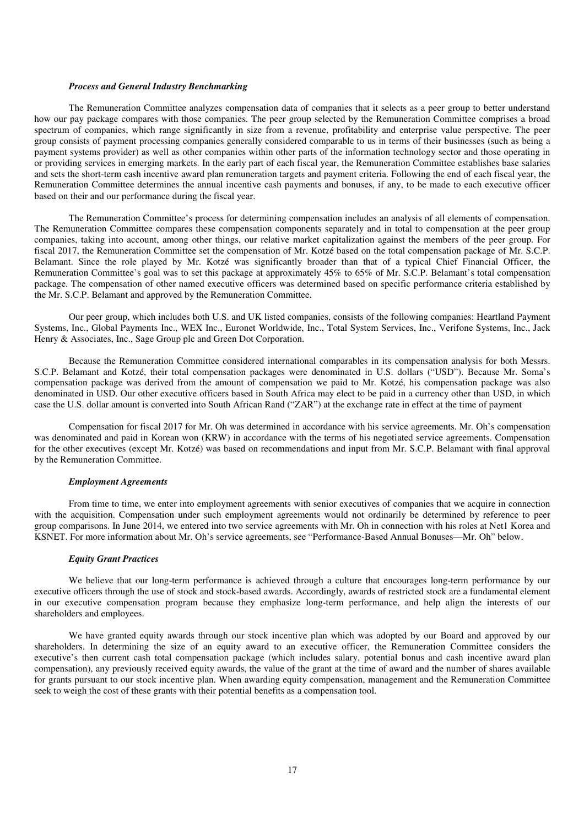#### *Process and General Industry Benchmarking*

The Remuneration Committee analyzes compensation data of companies that it selects as a peer group to better understand how our pay package compares with those companies. The peer group selected by the Remuneration Committee comprises a broad spectrum of companies, which range significantly in size from a revenue, profitability and enterprise value perspective. The peer group consists of payment processing companies generally considered comparable to us in terms of their businesses (such as being a payment systems provider) as well as other companies within other parts of the information technology sector and those operating in or providing services in emerging markets. In the early part of each fiscal year, the Remuneration Committee establishes base salaries and sets the short-term cash incentive award plan remuneration targets and payment criteria. Following the end of each fiscal year, the Remuneration Committee determines the annual incentive cash payments and bonuses, if any, to be made to each executive officer based on their and our performance during the fiscal year.

The Remuneration Committee's process for determining compensation includes an analysis of all elements of compensation. The Remuneration Committee compares these compensation components separately and in total to compensation at the peer group companies, taking into account, among other things, our relative market capitalization against the members of the peer group. For fiscal 2017, the Remuneration Committee set the compensation of Mr. Kotzé based on the total compensation package of Mr. S.C.P. Belamant. Since the role played by Mr. Kotzé was significantly broader than that of a typical Chief Financial Officer, the Remuneration Committee's goal was to set this package at approximately 45% to 65% of Mr. S.C.P. Belamant's total compensation package. The compensation of other named executive officers was determined based on specific performance criteria established by the Mr. S.C.P. Belamant and approved by the Remuneration Committee.

Our peer group, which includes both U.S. and UK listed companies, consists of the following companies: Heartland Payment Systems, Inc., Global Payments Inc., WEX Inc., Euronet Worldwide, Inc., Total System Services, Inc., Verifone Systems, Inc., Jack Henry & Associates, Inc., Sage Group plc and Green Dot Corporation.

Because the Remuneration Committee considered international comparables in its compensation analysis for both Messrs. S.C.P. Belamant and Kotzé, their total compensation packages were denominated in U.S. dollars ("USD"). Because Mr. Soma's compensation package was derived from the amount of compensation we paid to Mr. Kotzé, his compensation package was also denominated in USD. Our other executive officers based in South Africa may elect to be paid in a currency other than USD, in which case the U.S. dollar amount is converted into South African Rand ("ZAR") at the exchange rate in effect at the time of payment

Compensation for fiscal 2017 for Mr. Oh was determined in accordance with his service agreements. Mr. Oh's compensation was denominated and paid in Korean won (KRW) in accordance with the terms of his negotiated service agreements. Compensation for the other executives (except Mr. Kotzé) was based on recommendations and input from Mr. S.C.P. Belamant with final approval by the Remuneration Committee.

#### *Employment Agreements*

From time to time, we enter into employment agreements with senior executives of companies that we acquire in connection with the acquisition. Compensation under such employment agreements would not ordinarily be determined by reference to peer group comparisons. In June 2014, we entered into two service agreements with Mr. Oh in connection with his roles at Net1 Korea and KSNET. For more information about Mr. Oh's service agreements, see "Performance-Based Annual Bonuses—Mr. Oh" below.

#### *Equity Grant Practices*

We believe that our long-term performance is achieved through a culture that encourages long-term performance by our executive officers through the use of stock and stock-based awards. Accordingly, awards of restricted stock are a fundamental element in our executive compensation program because they emphasize long-term performance, and help align the interests of our shareholders and employees.

We have granted equity awards through our stock incentive plan which was adopted by our Board and approved by our shareholders. In determining the size of an equity award to an executive officer, the Remuneration Committee considers the executive's then current cash total compensation package (which includes salary, potential bonus and cash incentive award plan compensation), any previously received equity awards, the value of the grant at the time of award and the number of shares available for grants pursuant to our stock incentive plan. When awarding equity compensation, management and the Remuneration Committee seek to weigh the cost of these grants with their potential benefits as a compensation tool.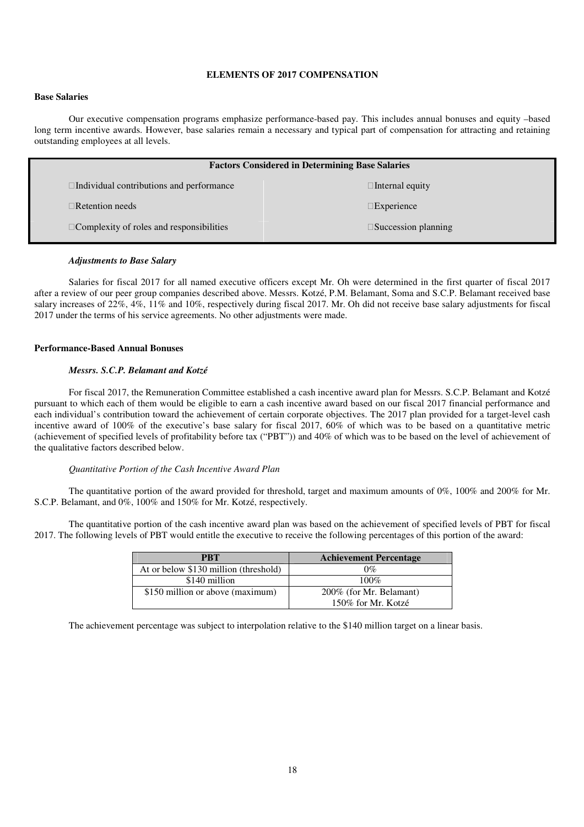## **ELEMENTS OF 2017 COMPENSATION**

## **Base Salaries**

Our executive compensation programs emphasize performance-based pay. This includes annual bonuses and equity –based long term incentive awards. However, base salaries remain a necessary and typical part of compensation for attracting and retaining outstanding employees at all levels.

|                                          | <b>Factors Considered in Determining Base Salaries</b> |
|------------------------------------------|--------------------------------------------------------|
| Individual contributions and performance | Internal equity                                        |
| Retention needs                          | Experience                                             |
| Complexity of roles and responsibilities | Succession planning                                    |

#### *Adjustments to Base Salary*

Salaries for fiscal 2017 for all named executive officers except Mr. Oh were determined in the first quarter of fiscal 2017 after a review of our peer group companies described above. Messrs. Kotzé, P.M. Belamant, Soma and S.C.P. Belamant received base salary increases of 22%, 4%, 11% and 10%, respectively during fiscal 2017. Mr. Oh did not receive base salary adjustments for fiscal 2017 under the terms of his service agreements. No other adjustments were made.

#### **Performance-Based Annual Bonuses**

#### *Messrs. S.C.P. Belamant and Kotzé*

For fiscal 2017, the Remuneration Committee established a cash incentive award plan for Messrs. S.C.P. Belamant and Kotzé pursuant to which each of them would be eligible to earn a cash incentive award based on our fiscal 2017 financial performance and each individual's contribution toward the achievement of certain corporate objectives. The 2017 plan provided for a target-level cash incentive award of 100% of the executive's base salary for fiscal 2017, 60% of which was to be based on a quantitative metric (achievement of specified levels of profitability before tax ("PBT")) and 40% of which was to be based on the level of achievement of the qualitative factors described below.

#### *Quantitative Portion of the Cash Incentive Award Plan*

The quantitative portion of the award provided for threshold, target and maximum amounts of 0%, 100% and 200% for Mr. S.C.P. Belamant, and 0%, 100% and 150% for Mr. Kotzé, respectively.

The quantitative portion of the cash incentive award plan was based on the achievement of specified levels of PBT for fiscal 2017. The following levels of PBT would entitle the executive to receive the following percentages of this portion of the award:

| <b>PRT</b>                            | <b>Achievement Percentage</b> |
|---------------------------------------|-------------------------------|
| At or below \$130 million (threshold) | 0%                            |
| \$140 million                         | 100%                          |
| \$150 million or above (maximum)      | 200% (for Mr. Belamant)       |
|                                       | 150% for Mr. Kotzé            |

The achievement percentage was subject to interpolation relative to the \$140 million target on a linear basis.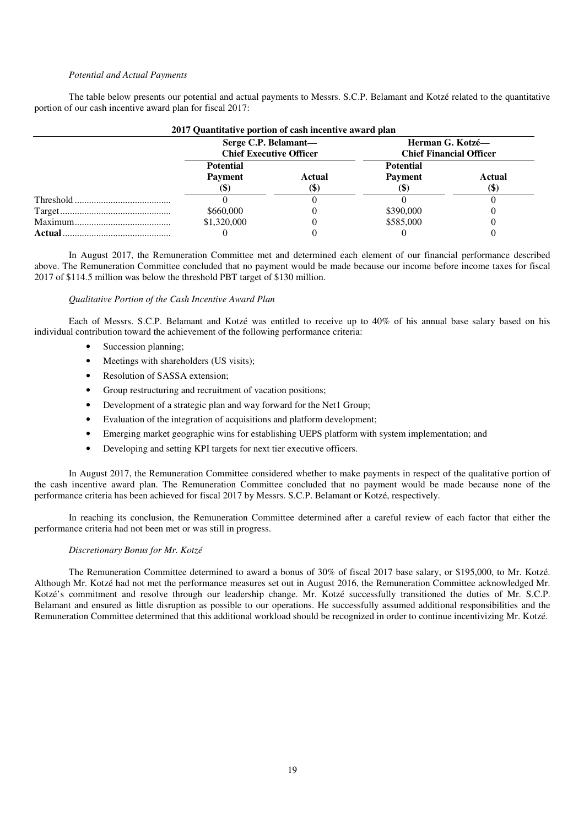#### *Potential and Actual Payments*

The table below presents our potential and actual payments to Messrs. S.C.P. Belamant and Kotzé related to the quantitative portion of our cash incentive award plan for fiscal 2017:

|           | 2017 Quantitative portion of cash incentive award plan<br>Serge C.P. Belamant- |        | Herman G. Kotzé—               |        |
|-----------|--------------------------------------------------------------------------------|--------|--------------------------------|--------|
|           | <b>Chief Executive Officer</b>                                                 |        | <b>Chief Financial Officer</b> |        |
|           | <b>Potential</b>                                                               |        | <b>Potential</b>               |        |
|           | <b>Payment</b>                                                                 | Actual | <b>Payment</b>                 | Actual |
|           | lΦ                                                                             | lΦ.    |                                | (3)    |
| Threshold |                                                                                |        |                                |        |
|           | \$660,000                                                                      |        | \$390,000                      |        |
|           | \$1,320,000                                                                    |        | \$585,000                      |        |
| Actual    |                                                                                |        |                                |        |

#### **2017 Quantitative portion of cash incentive award plan**

In August 2017, the Remuneration Committee met and determined each element of our financial performance described above. The Remuneration Committee concluded that no payment would be made because our income before income taxes for fiscal 2017 of \$114.5 million was below the threshold PBT target of \$130 million.

## *Qualitative Portion of the Cash Incentive Award Plan*

Each of Messrs. S.C.P. Belamant and Kotzé was entitled to receive up to 40% of his annual base salary based on his individual contribution toward the achievement of the following performance criteria:

- Succession planning;
- Meetings with shareholders (US visits):
- Resolution of SASSA extension;
- Group restructuring and recruitment of vacation positions;
- Development of a strategic plan and way forward for the Net1 Group;
- Evaluation of the integration of acquisitions and platform development;
- Emerging market geographic wins for establishing UEPS platform with system implementation; and
- Developing and setting KPI targets for next tier executive officers.

In August 2017, the Remuneration Committee considered whether to make payments in respect of the qualitative portion of the cash incentive award plan. The Remuneration Committee concluded that no payment would be made because none of the performance criteria has been achieved for fiscal 2017 by Messrs. S.C.P. Belamant or Kotzé, respectively.

In reaching its conclusion, the Remuneration Committee determined after a careful review of each factor that either the performance criteria had not been met or was still in progress.

#### *Discretionary Bonus for Mr. Kotzé*

The Remuneration Committee determined to award a bonus of 30% of fiscal 2017 base salary, or \$195,000, to Mr. Kotzé. Although Mr. Kotzé had not met the performance measures set out in August 2016, the Remuneration Committee acknowledged Mr. Kotzé's commitment and resolve through our leadership change. Mr. Kotzé successfully transitioned the duties of Mr. S.C.P. Belamant and ensured as little disruption as possible to our operations. He successfully assumed additional responsibilities and the Remuneration Committee determined that this additional workload should be recognized in order to continue incentivizing Mr. Kotzé.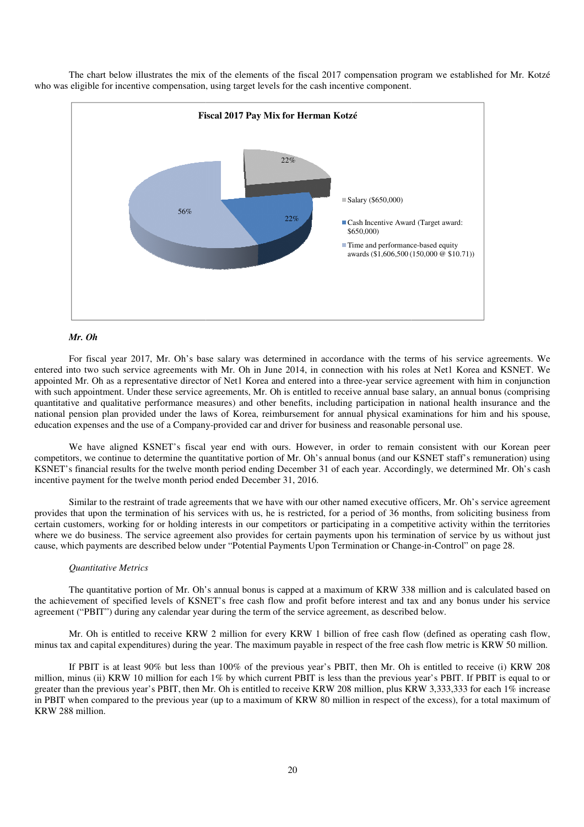

The chart below illustrates the mix of the elements of the fiscal 201 2017 compensation program we established for Mr. Kotzé who was eligible for incentive compensation, using target levels for the cash incentive component.

#### *Mr. Oh*

For fiscal year 2017, Mr. Oh's base salary was determined in accordance with the terms of his service agreements. We entered into two such service agreements with Mr. Oh in June 2014, in connection with his roles at Net1 Korea and KSNET. We entered into two such service agreements with Mr. Oh in June 2014, in connection with his roles at Net1 Korea and KSNET. We appointed Mr. Oh as a representative director of Net1 Korea and entered into a three-year service with such appointment. Under these service agreements, Mr. Oh is entitled to receive annual base salary, an annual bonus (comprising quantitative and qualitative performance measures) and other benefits, including participation in national health insurance and the national pension plan provided under the laws of Korea, reimbursement for annual physical examinations for him and his spouse national pension plan provided under the laws of Korea, reimbursement for annual physical examinations for education expenses and the use of a Company-provided car and driver for business and reasonable personal use. with his roles at Net1 Korea and KSNET. We<br>year service agreement with him in conjunction<br>annual base salary, an annual bonus (comprising<br>riticipation in national health insurance and the<br>physical examinations for him and

We have aligned KSNET's fiscal year end with ours. However, in order to remain consistent with our Korean peer We have aligned KSNET's fiscal year end with ours. However, in order to remain consistent with our Korean peer<br>competitors, we continue to determine the quantitative portion of Mr. Oh's annual bonus (and our KSNET staff's KSNET's financial results for the twelve month period ending December 31 of each year. Accordingly, we determined Mr. Oh's cash incentive payment for the twelve month period ended December 31, 2016.

Similar to the restraint of trade agreements that we have with our other named executive officers, Mr. Oh's service agreement provides that upon the termination of his services with us, he is restricted, for a period of 36 months, from soliciting certain customers, working for or holding interests in our competitors or participating in a competitive activity within the territories where we do business. The service agreement also provides for certain payments upon his termination of service by us without just cause, which payments are described below under "Potential Payments Upon Termination or Change-in-Control" on page 28.

#### *Quantitative Metrics*

cause, which payments are described below under "Potential Payments Upon Termination or Change-in-Control" on page 28.<br> *Quantitative Metrics*<br>
The quantitative portion of Mr. Oh's annual bonus is capped at a maximum of KR the achievement of specified levels of KSNET's free cash flow and profit before interest and tax and any bonus under his service agreement ("PBIT") during any calendar year during the term of the service agreement, as described below.

Mr. Oh is entitled to receive KRW 2 million for every KRW 1 billion of free cash flow (defined as operating cash flow, Mr. Oh is entitled to receive KRW 2 million for every KRW 1 billion of free cash flow (defined as operating cash flow, minus tax and capital expenditures) during the year. The maximum payable in respect of the free cash fl

If PBIT is at least 90% but less than 100% of the previous year's PBIT, then Mr. Oh is entitled to receive (i) KRW 208 million, minus (ii) KRW 10 million for each  $1\%$  by which current PBIT is less than the previous year's PBIT. If PBIT is equal to or greater than the previous year's PBIT, then Mr. Oh is entitled to receive KRW 208 million, plus KRW 3,333,333 for each 1% increase in PBIT when compared to the previous year (up to a maximum of KRW 80 million in respect of the excess), for a total maximum of KRW 288 million.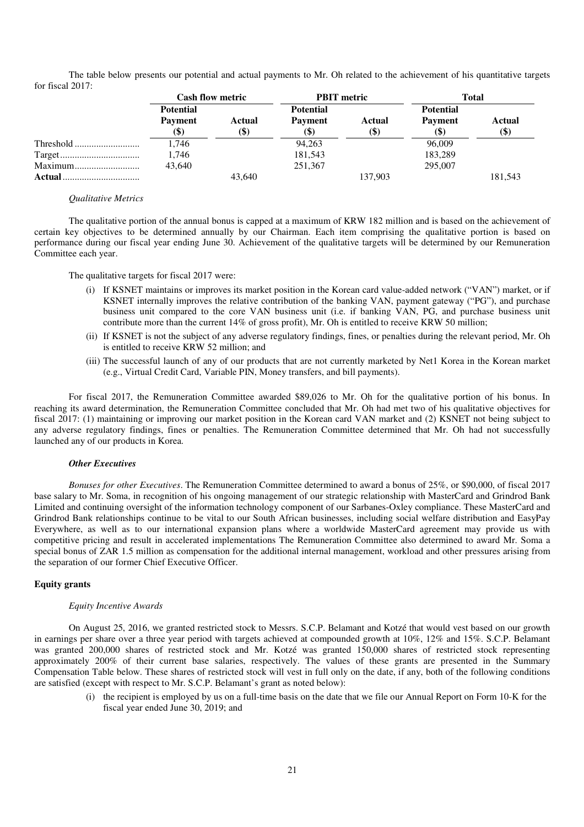The table below presents our potential and actual payments to Mr. Oh related to the achievement of his quantitative targets for fiscal 2017:

|               | <b>Cash flow metric</b> |        | <b>PBIT</b> metric |         | <b>Total</b>     |                           |  |
|---------------|-------------------------|--------|--------------------|---------|------------------|---------------------------|--|
|               | <b>Potential</b>        |        | <b>Potential</b>   |         | <b>Potential</b> |                           |  |
|               | <b>Payment</b>          | Actual | <b>Payment</b>     | Actual  | <b>Payment</b>   | Actual                    |  |
|               |                         | (\$)   | (\$)               | (\$)    | (\$              | $\left( \text{\$}\right)$ |  |
|               | 1,746                   |        | 94,263             |         | 96,009           |                           |  |
|               | 1,746                   |        | 181,543            |         | 183,289          |                           |  |
| Maximum       | 43.640                  |        | 251,367            |         | 295,007          |                           |  |
| <b>Actual</b> |                         | 43,640 |                    | 137,903 |                  | 181,543                   |  |

## *Qualitative Metrics*

The qualitative portion of the annual bonus is capped at a maximum of KRW 182 million and is based on the achievement of certain key objectives to be determined annually by our Chairman. Each item comprising the qualitative portion is based on performance during our fiscal year ending June 30. Achievement of the qualitative targets will be determined by our Remuneration Committee each year.

The qualitative targets for fiscal 2017 were:

- (i) If KSNET maintains or improves its market position in the Korean card value-added network ("VAN") market, or if KSNET internally improves the relative contribution of the banking VAN, payment gateway ("PG"), and purchase business unit compared to the core VAN business unit (i.e. if banking VAN, PG, and purchase business unit contribute more than the current 14% of gross profit), Mr. Oh is entitled to receive KRW 50 million;
- (ii) If KSNET is not the subject of any adverse regulatory findings, fines, or penalties during the relevant period, Mr. Oh is entitled to receive KRW 52 million; and
- (iii) The successful launch of any of our products that are not currently marketed by Net1 Korea in the Korean market (e.g., Virtual Credit Card, Variable PIN, Money transfers, and bill payments).

For fiscal 2017, the Remuneration Committee awarded \$89,026 to Mr. Oh for the qualitative portion of his bonus. In reaching its award determination, the Remuneration Committee concluded that Mr. Oh had met two of his qualitative objectives for fiscal 2017: (1) maintaining or improving our market position in the Korean card VAN market and (2) KSNET not being subject to any adverse regulatory findings, fines or penalties. The Remuneration Committee determined that Mr. Oh had not successfully launched any of our products in Korea.

#### *Other Executives*

*Bonuses for other Executives*. The Remuneration Committee determined to award a bonus of 25%, or \$90,000, of fiscal 2017 base salary to Mr. Soma, in recognition of his ongoing management of our strategic relationship with MasterCard and Grindrod Bank Limited and continuing oversight of the information technology component of our Sarbanes-Oxley compliance. These MasterCard and Grindrod Bank relationships continue to be vital to our South African businesses, including social welfare distribution and EasyPay Everywhere, as well as to our international expansion plans where a worldwide MasterCard agreement may provide us with competitive pricing and result in accelerated implementations The Remuneration Committee also determined to award Mr. Soma a special bonus of ZAR 1.5 million as compensation for the additional internal management, workload and other pressures arising from the separation of our former Chief Executive Officer.

## **Equity grants**

#### *Equity Incentive Awards*

On August 25, 2016, we granted restricted stock to Messrs. S.C.P. Belamant and Kotzé that would vest based on our growth in earnings per share over a three year period with targets achieved at compounded growth at 10%, 12% and 15%. S.C.P. Belamant was granted 200,000 shares of restricted stock and Mr. Kotzé was granted 150,000 shares of restricted stock representing approximately 200% of their current base salaries, respectively. The values of these grants are presented in the Summary Compensation Table below. These shares of restricted stock will vest in full only on the date, if any, both of the following conditions are satisfied (except with respect to Mr. S.C.P. Belamant's grant as noted below):

(i) the recipient is employed by us on a full-time basis on the date that we file our Annual Report on Form 10-K for the fiscal year ended June 30, 2019; and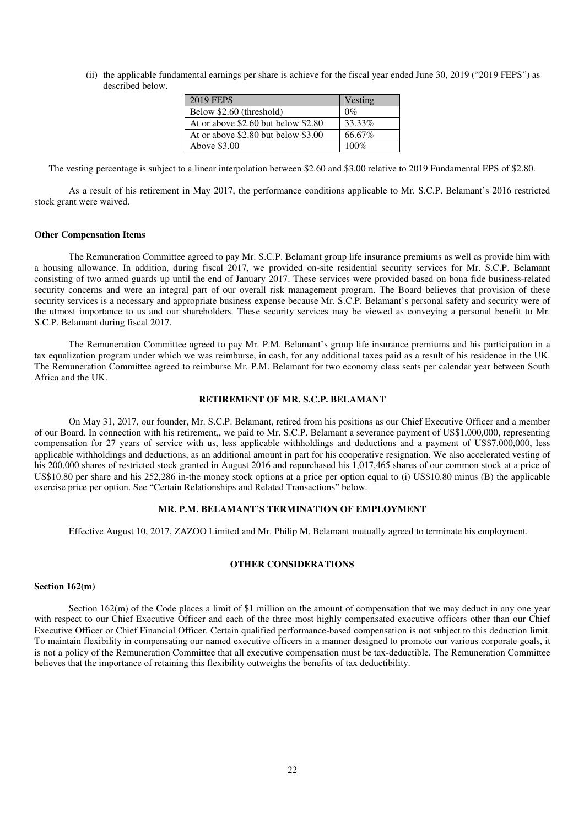(ii) the applicable fundamental earnings per share is achieve for the fiscal year ended June 30, 2019 ("2019 FEPS") as described below.

| 2019 FEPS                             | Vesting |
|---------------------------------------|---------|
| Below \$2.60 (threshold)              | $0\%$   |
| At or above $$2.60$ but below $$2.80$ | 33.33%  |
| At or above $$2.80$ but below $$3.00$ | 66.67%  |
| Above \$3.00                          | $100\%$ |

The vesting percentage is subject to a linear interpolation between \$2.60 and \$3.00 relative to 2019 Fundamental EPS of \$2.80.

As a result of his retirement in May 2017, the performance conditions applicable to Mr. S.C.P. Belamant's 2016 restricted stock grant were waived.

#### **Other Compensation Items**

The Remuneration Committee agreed to pay Mr. S.C.P. Belamant group life insurance premiums as well as provide him with a housing allowance. In addition, during fiscal 2017, we provided on-site residential security services for Mr. S.C.P. Belamant consisting of two armed guards up until the end of January 2017. These services were provided based on bona fide business-related security concerns and were an integral part of our overall risk management program. The Board believes that provision of these security services is a necessary and appropriate business expense because Mr. S.C.P. Belamant's personal safety and security were of the utmost importance to us and our shareholders. These security services may be viewed as conveying a personal benefit to Mr. S.C.P. Belamant during fiscal 2017.

The Remuneration Committee agreed to pay Mr. P.M. Belamant's group life insurance premiums and his participation in a tax equalization program under which we was reimburse, in cash, for any additional taxes paid as a result of his residence in the UK. The Remuneration Committee agreed to reimburse Mr. P.M. Belamant for two economy class seats per calendar year between South Africa and the UK.

#### **RETIREMENT OF MR. S.C.P. BELAMANT**

On May 31, 2017, our founder, Mr. S.C.P. Belamant, retired from his positions as our Chief Executive Officer and a member of our Board. In connection with his retirement,, we paid to Mr. S.C.P. Belamant a severance payment of US\$1,000,000, representing compensation for 27 years of service with us, less applicable withholdings and deductions and a payment of US\$7,000,000, less applicable withholdings and deductions, as an additional amount in part for his cooperative resignation. We also accelerated vesting of his 200,000 shares of restricted stock granted in August 2016 and repurchased his 1,017,465 shares of our common stock at a price of US\$10.80 per share and his 252,286 in-the money stock options at a price per option equal to (i) US\$10.80 minus (B) the applicable exercise price per option. See "Certain Relationships and Related Transactions" below.

#### **MR. P.M. BELAMANT'S TERMINATION OF EMPLOYMENT**

Effective August 10, 2017, ZAZOO Limited and Mr. Philip M. Belamant mutually agreed to terminate his employment.

## **OTHER CONSIDERATIONS**

#### **Section 162(m)**

Section 162(m) of the Code places a limit of \$1 million on the amount of compensation that we may deduct in any one year with respect to our Chief Executive Officer and each of the three most highly compensated executive officers other than our Chief Executive Officer or Chief Financial Officer. Certain qualified performance-based compensation is not subject to this deduction limit. To maintain flexibility in compensating our named executive officers in a manner designed to promote our various corporate goals, it is not a policy of the Remuneration Committee that all executive compensation must be tax-deductible. The Remuneration Committee believes that the importance of retaining this flexibility outweighs the benefits of tax deductibility.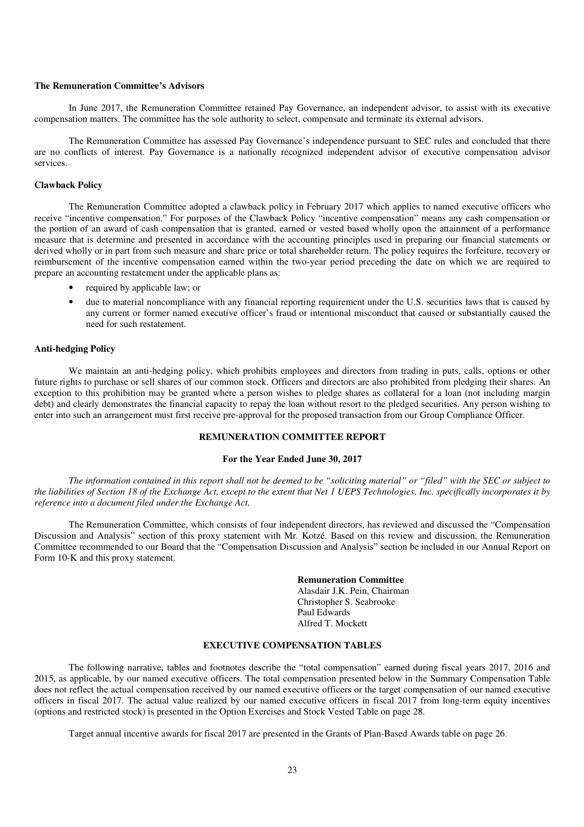#### **The Remuneration Committee's Advisors**

In June 2017, the Remuneration Committee retained Pay Governance, an independent advisor, to assist with its executive compensation matters. The committee has the sole authority to select, compensate and terminate its external advisors.

The Remuneration Committee has assessed Pay Governance's independence pursuant to SEC rules and concluded that there are no conflicts of interest. Pay Governance is a nationally recognized independent advisor of executive compensation advisor services.

#### **Clawback Policy**

The Remuneration Committee adopted a clawback policy in February 2017 which applies to named executive officers who receive "incentive compensation." For purposes of the Clawback Policy "incentive compensation" means any cash compensation or the portion of an award of cash compensation that is granted, earned or vested based wholly upon the attainment of a performance measure that is determine and presented in accordance with the accounting principles used in preparing our financial statements or derived wholly or in part from such measure and share price or total shareholder return. The policy requires the forfeiture, recovery or reimbursement of the incentive compensation earned within the two-year period preceding the date on which we are required to prepare an accounting restatement under the applicable plans as:

- required by applicable law; or
- due to material noncompliance with any financial reporting requirement under the U.S. securities laws that is caused by any current or former named executive officer's fraud or intentional misconduct that caused or substantially caused the need for such restatement.

## **Anti-hedging Policy**

We maintain an anti-hedging policy, which prohibits employees and directors from trading in puts, calls, options or other future rights to purchase or sell shares of our common stock. Officers and directors are also prohibited from pledging their shares. An exception to this prohibition may be granted where a person wishes to pledge shares as collateral for a loan (not including margin debt) and clearly demonstrates the financial capacity to repay the loan without resort to the pledged securities. Any person wishing to enter into such an arrangement must first receive pre-approval for the proposed transaction from our Group Compliance Officer.

## **REMUNERATION COMMITTEE REPORT**

## **For the Year Ended June 30, 2017**

*The information contained in this report shall not be deemed to be "soliciting material" or "filed" with the SEC or subject to the liabilities of Section 18 of the Exchange Act, except to the extent that Net 1 UEPS Technologies, Inc. specifically incorporates it by reference into a document filed under the Exchange Act.* 

The Remuneration Committee, which consists of four independent directors, has reviewed and discussed the "Compensation Discussion and Analysis" section of this proxy statement with Mr. Kotzé. Based on this review and discussion, the Remuneration Committee recommended to our Board that the "Compensation Discussion and Analysis" section be included in our Annual Report on Form 10-K and this proxy statement.

## **Remuneration Committee**

Alasdair J.K. Pein, Chairman Christopher S. Seabrooke Paul Edwards Alfred T. Mockett

## **EXECUTIVE COMPENSATION TABLES**

The following narrative, tables and footnotes describe the "total compensation" earned during fiscal years 2017, 2016 and 2015, as applicable, by our named executive officers. The total compensation presented below in the Summary Compensation Table does not reflect the actual compensation received by our named executive officers or the target compensation of our named executive officers in fiscal 2017. The actual value realized by our named executive officers in fiscal 2017 from long-term equity incentives (options and restricted stock) is presented in the Option Exercises and Stock Vested Table on page 28.

Target annual incentive awards for fiscal 2017 are presented in the Grants of Plan-Based Awards table on page 26.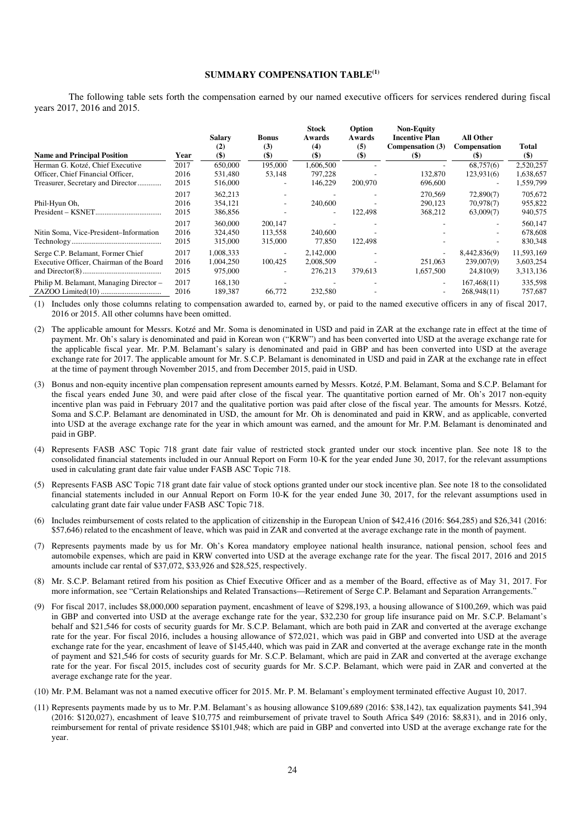## **SUMMARY COMPENSATION TABLE(1)**

The following table sets forth the compensation earned by our named executive officers for services rendered during fiscal years 2017, 2016 and 2015.

| <b>Name and Principal Position</b>       | Year | <b>Salary</b><br>(2)<br>$($)$ | Bonus<br>(3)<br>$($ \$   | <b>Stock</b><br>Awards<br>(4)<br>$($ \$) | Option<br>Awards<br>(5)<br>$($ \$ | <b>Non-Equity</b><br><b>Incentive Plan</b><br>Compensation (3)<br>$(\$)$ | <b>All Other</b><br><b>Compensation</b><br>(5) | Total<br>$(\$)$ |
|------------------------------------------|------|-------------------------------|--------------------------|------------------------------------------|-----------------------------------|--------------------------------------------------------------------------|------------------------------------------------|-----------------|
| Herman G. Kotzé, Chief Executive         | 2017 | 650,000                       | 195,000                  | 1,606,500                                |                                   |                                                                          | 68,757(6)                                      | 2,520,257       |
| Officer, Chief Financial Officer,        | 2016 | 531,480                       | 53,148                   | 797,228                                  |                                   | 132,870                                                                  | 123,931(6)                                     | 1,638,657       |
| Treasurer, Secretary and Director        | 2015 | 516,000                       | -                        | 146.229                                  | 200,970                           | 696,600                                                                  | $\overline{\phantom{a}}$                       | 1,559,799       |
|                                          | 2017 | 362,213                       |                          |                                          |                                   | 270,569                                                                  | 72,890(7)                                      | 705,672         |
| Phil-Hyun Oh,                            | 2016 | 354,121                       | $\overline{\phantom{a}}$ | 240,600                                  |                                   | 290,123                                                                  | 70,978(7)                                      | 955,822         |
|                                          | 2015 | 386,856                       |                          |                                          | 122,498                           | 368,212                                                                  | 63,009(7)                                      | 940,575         |
|                                          | 2017 | 360,000                       | 200,147                  |                                          |                                   |                                                                          |                                                | 560,147         |
| Nitin Soma, Vice-President-Information   | 2016 | 324,450                       | 113,558                  | 240,600                                  |                                   |                                                                          |                                                | 678,608         |
|                                          | 2015 | 315,000                       | 315,000                  | 77,850                                   | 122,498                           |                                                                          |                                                | 830,348         |
| Serge C.P. Belamant, Former Chief        | 2017 | 1,008,333                     | ۰                        | 2,142,000                                |                                   |                                                                          | 8,442,836(9)                                   | 11,593,169      |
| Executive Officer, Chairman of the Board | 2016 | 1,004,250                     | 100,425                  | 2,008,509                                |                                   | 251,063                                                                  | 239,007(9)                                     | 3,603,254       |
|                                          | 2015 | 975,000                       | $\overline{\phantom{a}}$ | 276,213                                  | 379,613                           | 1,657,500                                                                | 24,810(9)                                      | 3,313,136       |
| Philip M. Belamant, Managing Director -  | 2017 | 168,130                       |                          |                                          |                                   | ۰                                                                        | 167,468(11)                                    | 335,598         |
|                                          | 2016 | 189,387                       | 66,772                   | 232,580                                  |                                   | ۰                                                                        | 268,948(11)                                    | 757,687         |

(1) Includes only those columns relating to compensation awarded to, earned by, or paid to the named executive officers in any of fiscal 2017, 2016 or 2015. All other columns have been omitted.

- (2) The applicable amount for Messrs. Kotzé and Mr. Soma is denominated in USD and paid in ZAR at the exchange rate in effect at the time of payment. Mr. Oh's salary is denominated and paid in Korean won ("KRW") and has been converted into USD at the average exchange rate for the applicable fiscal year. Mr. P.M. Belamant's salary is denominated and paid in GBP and has been converted into USD at the average exchange rate for 2017. The applicable amount for Mr. S.C.P. Belamant is denominated in USD and paid in ZAR at the exchange rate in effect at the time of payment through November 2015, and from December 2015, paid in USD.
- (3) Bonus and non-equity incentive plan compensation represent amounts earned by Messrs. Kotzé, P.M. Belamant, Soma and S.C.P. Belamant for the fiscal years ended June 30, and were paid after close of the fiscal year. The quantitative portion earned of Mr. Oh's 2017 non-equity incentive plan was paid in February 2017 and the qualitative portion was paid after close of the fiscal year. The amounts for Messrs. Kotzé, Soma and S.C.P. Belamant are denominated in USD, the amount for Mr. Oh is denominated and paid in KRW, and as applicable, converted into USD at the average exchange rate for the year in which amount was earned, and the amount for Mr. P.M. Belamant is denominated and paid in GBP.
- (4) Represents FASB ASC Topic 718 grant date fair value of restricted stock granted under our stock incentive plan. See note 18 to the consolidated financial statements included in our Annual Report on Form 10-K for the year ended June 30, 2017, for the relevant assumptions used in calculating grant date fair value under FASB ASC Topic 718.
- (5) Represents FASB ASC Topic 718 grant date fair value of stock options granted under our stock incentive plan. See note 18 to the consolidated financial statements included in our Annual Report on Form 10-K for the year ended June 30, 2017, for the relevant assumptions used in calculating grant date fair value under FASB ASC Topic 718.
- (6) Includes reimbursement of costs related to the application of citizenship in the European Union of \$42,416 (2016: \$64,285) and \$26,341 (2016: \$57,646) related to the encashment of leave, which was paid in ZAR and converted at the average exchange rate in the month of payment.
- (7) Represents payments made by us for Mr. Oh's Korea mandatory employee national health insurance, national pension, school fees and automobile expenses, which are paid in KRW converted into USD at the average exchange rate for the year. The fiscal 2017, 2016 and 2015 amounts include car rental of \$37,072, \$33,926 and \$28,525, respectively.
- (8) Mr. S.C.P. Belamant retired from his position as Chief Executive Officer and as a member of the Board, effective as of May 31, 2017. For more information, see "Certain Relationships and Related Transactions—Retirement of Serge C.P. Belamant and Separation Arrangements."
- (9) For fiscal 2017, includes \$8,000,000 separation payment, encashment of leave of \$298,193, a housing allowance of \$100,269, which was paid in GBP and converted into USD at the average exchange rate for the year, \$32,230 for group life insurance paid on Mr. S.C.P. Belamant's behalf and \$21,546 for costs of security guards for Mr. S.C.P. Belamant, which are both paid in ZAR and converted at the average exchange rate for the year. For fiscal 2016, includes a housing allowance of \$72,021, which was paid in GBP and converted into USD at the average exchange rate for the year, encashment of leave of \$145,440, which was paid in ZAR and converted at the average exchange rate in the month of payment and \$21,546 for costs of security guards for Mr. S.C.P. Belamant, which are paid in ZAR and converted at the average exchange rate for the year. For fiscal 2015, includes cost of security guards for Mr. S.C.P. Belamant, which were paid in ZAR and converted at the average exchange rate for the year.
- (10) Mr. P.M. Belamant was not a named executive officer for 2015. Mr. P. M. Belamant's employment terminated effective August 10, 2017.
- (11) Represents payments made by us to Mr. P.M. Belamant's as housing allowance \$109,689 (2016: \$38,142), tax equalization payments \$41,394 (2016: \$120,027), encashment of leave \$10,775 and reimbursement of private travel to South Africa \$49 (2016: \$8,831), and in 2016 only, reimbursement for rental of private residence \$\$101,948; which are paid in GBP and converted into USD at the average exchange rate for the year.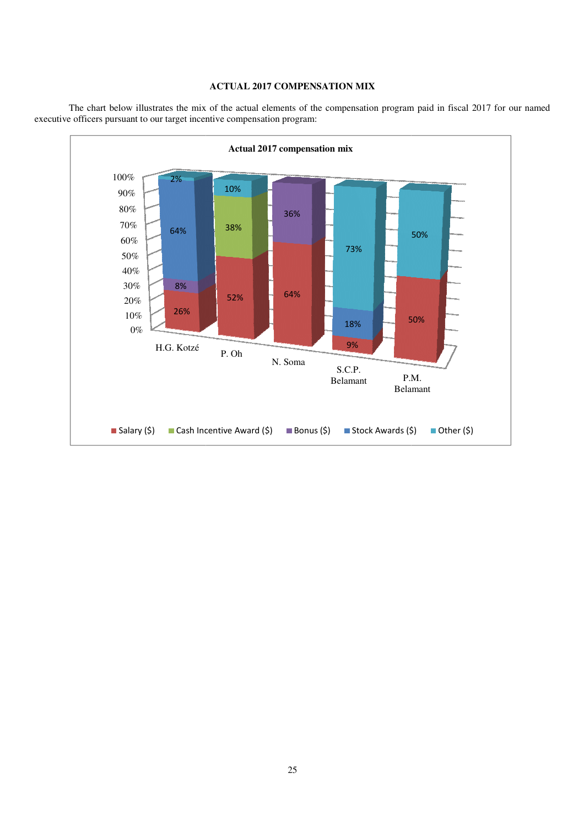## **ACTUAL 2017 COMPENSATION MIX**

The chart below illustrates the mix of the actual elements of the compensation program paid in fiscal 2017 for our named executive officers pursuant to our target incentive compensation program executive officers pursuant to our target incentive compensation program:

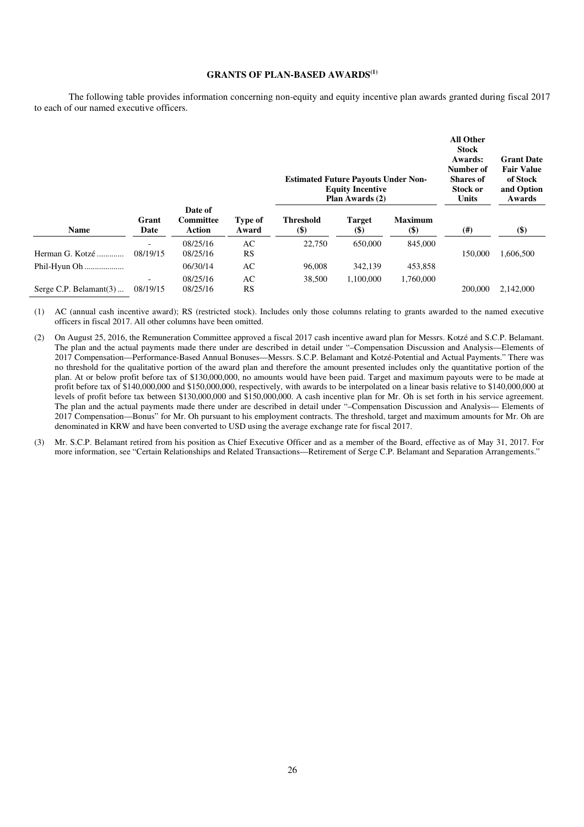## **GRANTS OF PLAN-BASED AWARDS(1)**

The following table provides information concerning non-equity and equity incentive plan awards granted during fiscal 2017 to each of our named executive officers.

|                           |                                      |                                              |                         | <b>Estimated Future Payouts Under Non-</b><br><b>Equity Incentive</b><br>Plan Awards (2) |                         |                         | <b>All Other</b><br><b>Stock</b><br>Awards:<br>Number of<br><b>Shares</b> of<br>Stock or<br><b>Units</b> | <b>Grant Date</b><br><b>Fair Value</b><br>of Stock<br>and Option<br>Awards |
|---------------------------|--------------------------------------|----------------------------------------------|-------------------------|------------------------------------------------------------------------------------------|-------------------------|-------------------------|----------------------------------------------------------------------------------------------------------|----------------------------------------------------------------------------|
| <b>Name</b>               | Grant<br>Date                        | Date of<br><b>Committee</b><br><b>Action</b> | <b>Type of</b><br>Award | <b>Threshold</b><br><b>(\$)</b>                                                          | <b>Target</b><br>$($ \$ | <b>Maximum</b><br>$($)$ | (#)                                                                                                      | $($ \$                                                                     |
| Herman G. Kotzé           | $\overline{\phantom{0}}$<br>08/19/15 | 08/25/16<br>08/25/16                         | AC<br>RS                | 22,750                                                                                   | 650,000                 | 845,000                 | 150.000                                                                                                  | 1,606,500                                                                  |
| Phil-Hyun Oh              |                                      | 06/30/14                                     | AC                      | 96,008                                                                                   | 342,139                 | 453,858                 |                                                                                                          |                                                                            |
| Serge C.P. Belamant $(3)$ | $\overline{\phantom{0}}$<br>08/19/15 | 08/25/16<br>08/25/16                         | AC<br><b>RS</b>         | 38,500                                                                                   | 1,100,000               | 1,760,000               | 200,000                                                                                                  | 2,142,000                                                                  |

(1) AC (annual cash incentive award); RS (restricted stock). Includes only those columns relating to grants awarded to the named executive officers in fiscal 2017. All other columns have been omitted.

- (2) On August 25, 2016, the Remuneration Committee approved a fiscal 2017 cash incentive award plan for Messrs. Kotzé and S.C.P. Belamant. The plan and the actual payments made there under are described in detail under "–Compensation Discussion and Analysis—Elements of 2017 Compensation—Performance-Based Annual Bonuses—Messrs. S.C.P. Belamant and Kotzé-Potential and Actual Payments." There was no threshold for the qualitative portion of the award plan and therefore the amount presented includes only the quantitative portion of the plan. At or below profit before tax of \$130,000,000, no amounts would have been paid. Target and maximum payouts were to be made at profit before tax of \$140,000,000 and \$150,000,000, respectively, with awards to be interpolated on a linear basis relative to \$140,000,000 at levels of profit before tax between \$130,000,000 and \$150,000,000. A cash incentive plan for Mr. Oh is set forth in his service agreement. The plan and the actual payments made there under are described in detail under "–Compensation Discussion and Analysis— Elements of 2017 Compensation—Bonus" for Mr. Oh pursuant to his employment contracts. The threshold, target and maximum amounts for Mr. Oh are denominated in KRW and have been converted to USD using the average exchange rate for fiscal 2017.
- (3) Mr. S.C.P. Belamant retired from his position as Chief Executive Officer and as a member of the Board, effective as of May 31, 2017. For more information, see "Certain Relationships and Related Transactions—Retirement of Serge C.P. Belamant and Separation Arrangements."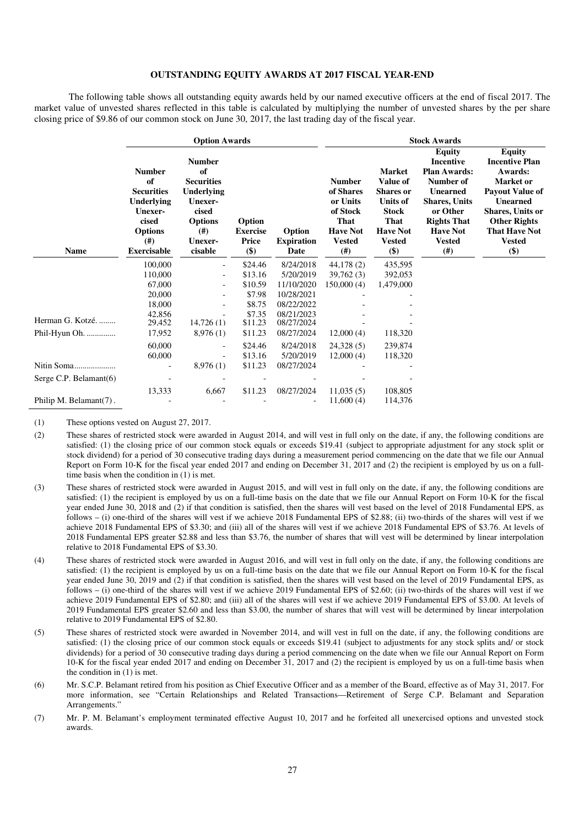## **OUTSTANDING EQUITY AWARDS AT 2017 FISCAL YEAR-END**

The following table shows all outstanding equity awards held by our named executive officers at the end of fiscal 2017. The market value of unvested shares reflected in this table is calculated by multiplying the number of unvested shares by the per share closing price of \$9.86 of our common stock on June 30, 2017, the last trading day of the fiscal year.

|                        |                                                                                                                                   | <b>Option Awards</b>                                                                                                              |                                           |                                     | <b>Stock Awards</b>                                                                                    |                                                                                                                                            |                                                                                                                                                                                        |                                                                                                                                                                                                                  |
|------------------------|-----------------------------------------------------------------------------------------------------------------------------------|-----------------------------------------------------------------------------------------------------------------------------------|-------------------------------------------|-------------------------------------|--------------------------------------------------------------------------------------------------------|--------------------------------------------------------------------------------------------------------------------------------------------|----------------------------------------------------------------------------------------------------------------------------------------------------------------------------------------|------------------------------------------------------------------------------------------------------------------------------------------------------------------------------------------------------------------|
| Name                   | <b>Number</b><br>of<br><b>Securities</b><br><b>Underlying</b><br>Unexer-<br>cised<br><b>Options</b><br>(# )<br><b>Exercisable</b> | <b>Number</b><br>of<br><b>Securities</b><br><b>Underlying</b><br>Unexer-<br>cised<br><b>Options</b><br>(# )<br>Unexer-<br>cisable | Option<br><b>Exercise</b><br>Price<br>\$) | Option<br><b>Expiration</b><br>Date | <b>Number</b><br>of Shares<br>or Units<br>of Stock<br>That<br><b>Have Not</b><br><b>Vested</b><br>(# ) | <b>Market</b><br><b>Value of</b><br><b>Shares</b> or<br><b>Units of</b><br><b>Stock</b><br>That<br><b>Have Not</b><br><b>Vested</b><br>\$) | <b>Equity</b><br>Incentive<br><b>Plan Awards:</b><br>Number of<br><b>Unearned</b><br><b>Shares, Units</b><br>or Other<br><b>Rights That</b><br><b>Have Not</b><br><b>Vested</b><br>(#) | <b>Equity</b><br><b>Incentive Plan</b><br>Awards:<br>Market or<br><b>Payout Value of</b><br><b>Unearned</b><br><b>Shares, Units or</b><br><b>Other Rights</b><br><b>That Have Not</b><br><b>Vested</b><br>$(\$)$ |
|                        | 100,000                                                                                                                           |                                                                                                                                   | \$24.46                                   | 8/24/2018                           | 44,178(2)                                                                                              | 435,595                                                                                                                                    |                                                                                                                                                                                        |                                                                                                                                                                                                                  |
|                        | 110,000                                                                                                                           | $\overline{\phantom{a}}$                                                                                                          | \$13.16                                   | 5/20/2019                           | 39,762(3)                                                                                              | 392,053                                                                                                                                    |                                                                                                                                                                                        |                                                                                                                                                                                                                  |
|                        | 67,000                                                                                                                            |                                                                                                                                   | \$10.59                                   | 11/10/2020                          | 150,000(4)                                                                                             | 1,479,000                                                                                                                                  |                                                                                                                                                                                        |                                                                                                                                                                                                                  |
|                        | 20,000                                                                                                                            |                                                                                                                                   | \$7.98                                    | 10/28/2021                          |                                                                                                        |                                                                                                                                            |                                                                                                                                                                                        |                                                                                                                                                                                                                  |
|                        | 18,000                                                                                                                            |                                                                                                                                   | \$8.75                                    | 08/22/2022                          |                                                                                                        |                                                                                                                                            |                                                                                                                                                                                        |                                                                                                                                                                                                                  |
| Herman G. Kotzé.       | 42,856<br>29,452                                                                                                                  | 14,726(1)                                                                                                                         | \$7.35<br>\$11.23                         | 08/21/2023<br>08/27/2024            |                                                                                                        |                                                                                                                                            |                                                                                                                                                                                        |                                                                                                                                                                                                                  |
| Phil-Hyun Oh.          | 17,952                                                                                                                            | 8,976(1)                                                                                                                          | \$11.23                                   | 08/27/2024                          | 12,000(4)                                                                                              | 118,320                                                                                                                                    |                                                                                                                                                                                        |                                                                                                                                                                                                                  |
|                        | 60,000<br>60,000                                                                                                                  |                                                                                                                                   | \$24.46<br>\$13.16                        | 8/24/2018<br>5/20/2019              | 24,328(5)<br>12,000(4)                                                                                 | 239,874<br>118,320                                                                                                                         |                                                                                                                                                                                        |                                                                                                                                                                                                                  |
| Nitin Soma             | $\overline{\phantom{a}}$                                                                                                          | 8,976(1)                                                                                                                          | \$11.23                                   | 08/27/2024                          |                                                                                                        |                                                                                                                                            |                                                                                                                                                                                        |                                                                                                                                                                                                                  |
| Serge C.P. Belamant(6) |                                                                                                                                   |                                                                                                                                   |                                           |                                     |                                                                                                        |                                                                                                                                            |                                                                                                                                                                                        |                                                                                                                                                                                                                  |
|                        | 13,333                                                                                                                            | 6,667                                                                                                                             | \$11.23                                   | 08/27/2024                          | 11,035(5)                                                                                              | 108,805                                                                                                                                    |                                                                                                                                                                                        |                                                                                                                                                                                                                  |
| Philip M. Belamant(7). |                                                                                                                                   |                                                                                                                                   |                                           |                                     | 11,600(4)                                                                                              | 114,376                                                                                                                                    |                                                                                                                                                                                        |                                                                                                                                                                                                                  |

(1) These options vested on August 27, 2017.

- (2) These shares of restricted stock were awarded in August 2014, and will vest in full only on the date, if any, the following conditions are satisfied: (1) the closing price of our common stock equals or exceeds \$19.41 (subject to appropriate adjustment for any stock split or stock dividend) for a period of 30 consecutive trading days during a measurement period commencing on the date that we file our Annual Report on Form 10-K for the fiscal year ended 2017 and ending on December 31, 2017 and (2) the recipient is employed by us on a fulltime basis when the condition in (1) is met.
- (3) These shares of restricted stock were awarded in August 2015, and will vest in full only on the date, if any, the following conditions are satisfied: (1) the recipient is employed by us on a full-time basis on the date that we file our Annual Report on Form 10-K for the fiscal year ended June 30, 2018 and (2) if that condition is satisfied, then the shares will vest based on the level of 2018 Fundamental EPS, as follows – (i) one-third of the shares will vest if we achieve 2018 Fundamental EPS of \$2.88; (ii) two-thirds of the shares will vest if we achieve 2018 Fundamental EPS of \$3.30; and (iii) all of the shares will vest if we achieve 2018 Fundamental EPS of \$3.76. At levels of 2018 Fundamental EPS greater \$2.88 and less than \$3.76, the number of shares that will vest will be determined by linear interpolation relative to 2018 Fundamental EPS of \$3.30.
- (4) These shares of restricted stock were awarded in August 2016, and will vest in full only on the date, if any, the following conditions are satisfied: (1) the recipient is employed by us on a full-time basis on the date that we file our Annual Report on Form 10-K for the fiscal year ended June 30, 2019 and (2) if that condition is satisfied, then the shares will vest based on the level of 2019 Fundamental EPS, as follows – (i) one-third of the shares will vest if we achieve 2019 Fundamental EPS of \$2.60; (ii) two-thirds of the shares will vest if we achieve 2019 Fundamental EPS of \$2.80; and (iii) all of the shares will vest if we achieve 2019 Fundamental EPS of \$3.00. At levels of 2019 Fundamental EPS greater \$2.60 and less than \$3.00, the number of shares that will vest will be determined by linear interpolation relative to 2019 Fundamental EPS of \$2.80.
- (5) These shares of restricted stock were awarded in November 2014, and will vest in full on the date, if any, the following conditions are satisfied: (1) the closing price of our common stock equals or exceeds \$19.41 (subject to adjustments for any stock splits and/ or stock dividends) for a period of 30 consecutive trading days during a period commencing on the date when we file our Annual Report on Form 10-K for the fiscal year ended 2017 and ending on December 31, 2017 and (2) the recipient is employed by us on a full-time basis when the condition in (1) is met.
- (6) Mr. S.C.P. Belamant retired from his position as Chief Executive Officer and as a member of the Board, effective as of May 31, 2017. For more information, see "Certain Relationships and Related Transactions—Retirement of Serge C.P. Belamant and Separation Arrangements."
- (7) Mr. P. M. Belamant's employment terminated effective August 10, 2017 and he forfeited all unexercised options and unvested stock awards.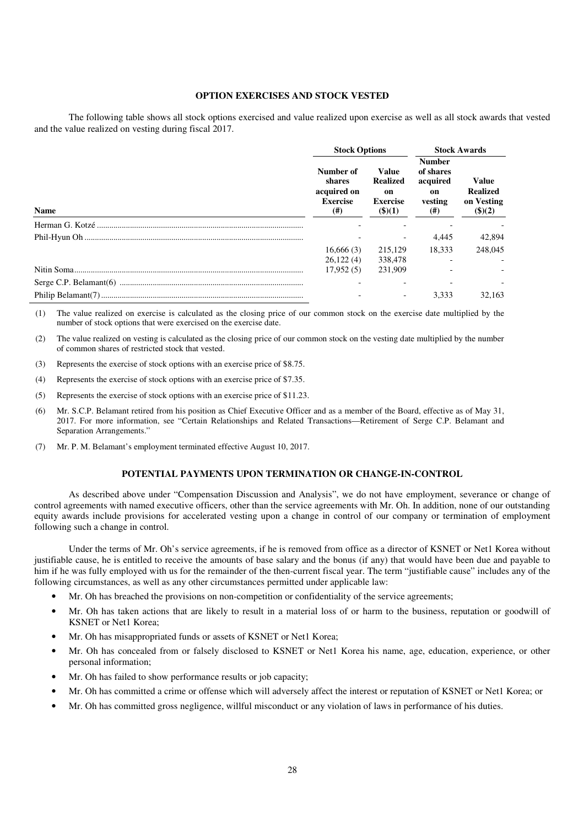## **OPTION EXERCISES AND STOCK VESTED**

The following table shows all stock options exercised and value realized upon exercise as well as all stock awards that vested and the value realized on vesting during fiscal 2017.

|             | <b>Stock Options</b>                                         |                                                                           | <b>Stock Awards</b>                                                 |                                                              |  |
|-------------|--------------------------------------------------------------|---------------------------------------------------------------------------|---------------------------------------------------------------------|--------------------------------------------------------------|--|
| <b>Name</b> | Number of<br>shares<br>acquired on<br><b>Exercise</b><br>(#) | <b>Value</b><br><b>Realized</b><br>on<br><b>Exercise</b><br>$($ \$ $)(1)$ | <b>Number</b><br>of shares<br>acquired<br>on<br>vesting<br>$^{(#)}$ | <b>Value</b><br><b>Realized</b><br>on Vesting<br>$($ (\$)(2) |  |
|             |                                                              |                                                                           |                                                                     |                                                              |  |
|             |                                                              |                                                                           | 4.445                                                               | 42,894                                                       |  |
|             | 16,666(3)                                                    | 215,129                                                                   | 18.333                                                              | 248,045                                                      |  |
|             | 26,122(4)                                                    | 338,478                                                                   |                                                                     |                                                              |  |
|             | 17,952(5)                                                    | 231.909                                                                   |                                                                     |                                                              |  |
|             |                                                              |                                                                           |                                                                     |                                                              |  |
|             |                                                              |                                                                           | 3.333                                                               | 32.163                                                       |  |

(1) The value realized on exercise is calculated as the closing price of our common stock on the exercise date multiplied by the number of stock options that were exercised on the exercise date.

- (2) The value realized on vesting is calculated as the closing price of our common stock on the vesting date multiplied by the number of common shares of restricted stock that vested.
- (3) Represents the exercise of stock options with an exercise price of \$8.75.
- (4) Represents the exercise of stock options with an exercise price of \$7.35.
- (5) Represents the exercise of stock options with an exercise price of \$11.23.
- (6) Mr. S.C.P. Belamant retired from his position as Chief Executive Officer and as a member of the Board, effective as of May 31, 2017. For more information, see "Certain Relationships and Related Transactions—Retirement of Serge C.P. Belamant and Separation Arrangements."
- (7) Mr. P. M. Belamant's employment terminated effective August 10, 2017.

#### **POTENTIAL PAYMENTS UPON TERMINATION OR CHANGE-IN-CONTROL**

As described above under "Compensation Discussion and Analysis", we do not have employment, severance or change of control agreements with named executive officers, other than the service agreements with Mr. Oh. In addition, none of our outstanding equity awards include provisions for accelerated vesting upon a change in control of our company or termination of employment following such a change in control.

Under the terms of Mr. Oh's service agreements, if he is removed from office as a director of KSNET or Net1 Korea without justifiable cause, he is entitled to receive the amounts of base salary and the bonus (if any) that would have been due and payable to him if he was fully employed with us for the remainder of the then-current fiscal year. The term "justifiable cause" includes any of the following circumstances, as well as any other circumstances permitted under applicable law:

- Mr. Oh has breached the provisions on non-competition or confidentiality of the service agreements;
- Mr. Oh has taken actions that are likely to result in a material loss of or harm to the business, reputation or goodwill of KSNET or Net1 Korea;
- Mr. Oh has misappropriated funds or assets of KSNET or Net1 Korea;
- Mr. Oh has concealed from or falsely disclosed to KSNET or Net1 Korea his name, age, education, experience, or other personal information;
- Mr. Oh has failed to show performance results or job capacity;
- Mr. Oh has committed a crime or offense which will adversely affect the interest or reputation of KSNET or Net1 Korea; or
- Mr. Oh has committed gross negligence, willful misconduct or any violation of laws in performance of his duties.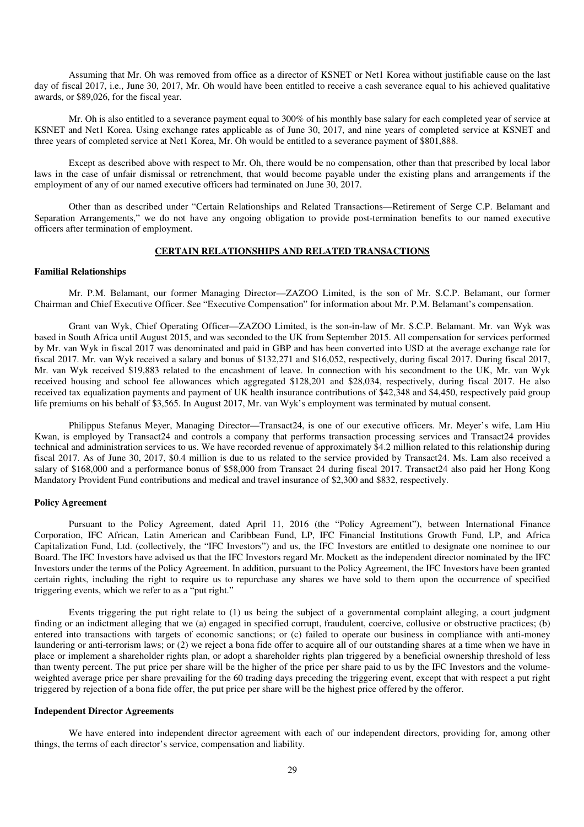Assuming that Mr. Oh was removed from office as a director of KSNET or Net1 Korea without justifiable cause on the last day of fiscal 2017, i.e., June 30, 2017, Mr. Oh would have been entitled to receive a cash severance equal to his achieved qualitative awards, or \$89,026, for the fiscal year.

Mr. Oh is also entitled to a severance payment equal to 300% of his monthly base salary for each completed year of service at KSNET and Net1 Korea. Using exchange rates applicable as of June 30, 2017, and nine years of completed service at KSNET and three years of completed service at Net1 Korea, Mr. Oh would be entitled to a severance payment of \$801,888.

Except as described above with respect to Mr. Oh, there would be no compensation, other than that prescribed by local labor laws in the case of unfair dismissal or retrenchment, that would become payable under the existing plans and arrangements if the employment of any of our named executive officers had terminated on June 30, 2017.

Other than as described under "Certain Relationships and Related Transactions—Retirement of Serge C.P. Belamant and Separation Arrangements," we do not have any ongoing obligation to provide post-termination benefits to our named executive officers after termination of employment.

#### **CERTAIN RELATIONSHIPS AND RELATED TRANSACTIONS**

#### **Familial Relationships**

Mr. P.M. Belamant, our former Managing Director—ZAZOO Limited, is the son of Mr. S.C.P. Belamant, our former Chairman and Chief Executive Officer. See "Executive Compensation" for information about Mr. P.M. Belamant's compensation.

Grant van Wyk, Chief Operating Officer—ZAZOO Limited, is the son-in-law of Mr. S.C.P. Belamant. Mr. van Wyk was based in South Africa until August 2015, and was seconded to the UK from September 2015. All compensation for services performed by Mr. van Wyk in fiscal 2017 was denominated and paid in GBP and has been converted into USD at the average exchange rate for fiscal 2017. Mr. van Wyk received a salary and bonus of \$132,271 and \$16,052, respectively, during fiscal 2017. During fiscal 2017, Mr. van Wyk received \$19,883 related to the encashment of leave. In connection with his secondment to the UK, Mr. van Wyk received housing and school fee allowances which aggregated \$128,201 and \$28,034, respectively, during fiscal 2017. He also received tax equalization payments and payment of UK health insurance contributions of \$42,348 and \$4,450, respectively paid group life premiums on his behalf of \$3,565. In August 2017, Mr. van Wyk's employment was terminated by mutual consent.

Philippus Stefanus Meyer, Managing Director—Transact24, is one of our executive officers. Mr. Meyer's wife, Lam Hiu Kwan, is employed by Transact24 and controls a company that performs transaction processing services and Transact24 provides technical and administration services to us. We have recorded revenue of approximately \$4.2 million related to this relationship during fiscal 2017. As of June 30, 2017, \$0.4 million is due to us related to the service provided by Transact24. Ms. Lam also received a salary of \$168,000 and a performance bonus of \$58,000 from Transact 24 during fiscal 2017. Transact24 also paid her Hong Kong Mandatory Provident Fund contributions and medical and travel insurance of \$2,300 and \$832, respectively.

#### **Policy Agreement**

Pursuant to the Policy Agreement, dated April 11, 2016 (the "Policy Agreement"), between International Finance Corporation, IFC African, Latin American and Caribbean Fund, LP, IFC Financial Institutions Growth Fund, LP, and Africa Capitalization Fund, Ltd. (collectively, the "IFC Investors") and us, the IFC Investors are entitled to designate one nominee to our Board. The IFC Investors have advised us that the IFC Investors regard Mr. Mockett as the independent director nominated by the IFC Investors under the terms of the Policy Agreement. In addition, pursuant to the Policy Agreement, the IFC Investors have been granted certain rights, including the right to require us to repurchase any shares we have sold to them upon the occurrence of specified triggering events, which we refer to as a "put right."

Events triggering the put right relate to (1) us being the subject of a governmental complaint alleging, a court judgment finding or an indictment alleging that we (a) engaged in specified corrupt, fraudulent, coercive, collusive or obstructive practices; (b) entered into transactions with targets of economic sanctions; or (c) failed to operate our business in compliance with anti-money laundering or anti-terrorism laws; or (2) we reject a bona fide offer to acquire all of our outstanding shares at a time when we have in place or implement a shareholder rights plan, or adopt a shareholder rights plan triggered by a beneficial ownership threshold of less than twenty percent. The put price per share will be the higher of the price per share paid to us by the IFC Investors and the volumeweighted average price per share prevailing for the 60 trading days preceding the triggering event, except that with respect a put right triggered by rejection of a bona fide offer, the put price per share will be the highest price offered by the offeror.

#### **Independent Director Agreements**

We have entered into independent director agreement with each of our independent directors, providing for, among other things, the terms of each director's service, compensation and liability.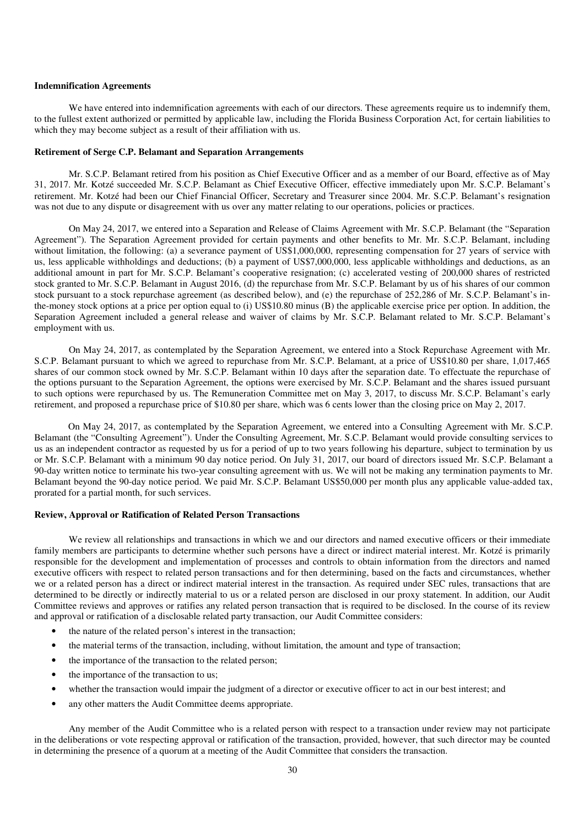#### **Indemnification Agreements**

We have entered into indemnification agreements with each of our directors. These agreements require us to indemnify them, to the fullest extent authorized or permitted by applicable law, including the Florida Business Corporation Act, for certain liabilities to which they may become subject as a result of their affiliation with us.

## **Retirement of Serge C.P. Belamant and Separation Arrangements**

Mr. S.C.P. Belamant retired from his position as Chief Executive Officer and as a member of our Board, effective as of May 31, 2017. Mr. Kotzé succeeded Mr. S.C.P. Belamant as Chief Executive Officer, effective immediately upon Mr. S.C.P. Belamant's retirement. Mr. Kotzé had been our Chief Financial Officer, Secretary and Treasurer since 2004. Mr. S.C.P. Belamant's resignation was not due to any dispute or disagreement with us over any matter relating to our operations, policies or practices.

On May 24, 2017, we entered into a Separation and Release of Claims Agreement with Mr. S.C.P. Belamant (the "Separation Agreement"). The Separation Agreement provided for certain payments and other benefits to Mr. Mr. S.C.P. Belamant, including without limitation, the following: (a) a severance payment of US\$1,000,000, representing compensation for 27 years of service with us, less applicable withholdings and deductions; (b) a payment of US\$7,000,000, less applicable withholdings and deductions, as an additional amount in part for Mr. S.C.P. Belamant's cooperative resignation; (c) accelerated vesting of 200,000 shares of restricted stock granted to Mr. S.C.P. Belamant in August 2016, (d) the repurchase from Mr. S.C.P. Belamant by us of his shares of our common stock pursuant to a stock repurchase agreement (as described below), and (e) the repurchase of 252,286 of Mr. S.C.P. Belamant's inthe-money stock options at a price per option equal to (i) US\$10.80 minus (B) the applicable exercise price per option. In addition, the Separation Agreement included a general release and waiver of claims by Mr. S.C.P. Belamant related to Mr. S.C.P. Belamant's employment with us.

On May 24, 2017, as contemplated by the Separation Agreement, we entered into a Stock Repurchase Agreement with Mr. S.C.P. Belamant pursuant to which we agreed to repurchase from Mr. S.C.P. Belamant, at a price of US\$10.80 per share, 1,017,465 shares of our common stock owned by Mr. S.C.P. Belamant within 10 days after the separation date. To effectuate the repurchase of the options pursuant to the Separation Agreement, the options were exercised by Mr. S.C.P. Belamant and the shares issued pursuant to such options were repurchased by us. The Remuneration Committee met on May 3, 2017, to discuss Mr. S.C.P. Belamant's early retirement, and proposed a repurchase price of \$10.80 per share, which was 6 cents lower than the closing price on May 2, 2017.

On May 24, 2017, as contemplated by the Separation Agreement, we entered into a Consulting Agreement with Mr. S.C.P. Belamant (the "Consulting Agreement"). Under the Consulting Agreement, Mr. S.C.P. Belamant would provide consulting services to us as an independent contractor as requested by us for a period of up to two years following his departure, subject to termination by us or Mr. S.C.P. Belamant with a minimum 90 day notice period. On July 31, 2017, our board of directors issued Mr. S.C.P. Belamant a 90-day written notice to terminate his two-year consulting agreement with us. We will not be making any termination payments to Mr. Belamant beyond the 90-day notice period. We paid Mr. S.C.P. Belamant US\$50,000 per month plus any applicable value-added tax, prorated for a partial month, for such services.

#### **Review, Approval or Ratification of Related Person Transactions**

We review all relationships and transactions in which we and our directors and named executive officers or their immediate family members are participants to determine whether such persons have a direct or indirect material interest. Mr. Kotzé is primarily responsible for the development and implementation of processes and controls to obtain information from the directors and named executive officers with respect to related person transactions and for then determining, based on the facts and circumstances, whether we or a related person has a direct or indirect material interest in the transaction. As required under SEC rules, transactions that are determined to be directly or indirectly material to us or a related person are disclosed in our proxy statement. In addition, our Audit Committee reviews and approves or ratifies any related person transaction that is required to be disclosed. In the course of its review and approval or ratification of a disclosable related party transaction, our Audit Committee considers:

- the nature of the related person's interest in the transaction;
- the material terms of the transaction, including, without limitation, the amount and type of transaction;
- the importance of the transaction to the related person;
- the importance of the transaction to us;
- whether the transaction would impair the judgment of a director or executive officer to act in our best interest; and
- any other matters the Audit Committee deems appropriate.

Any member of the Audit Committee who is a related person with respect to a transaction under review may not participate in the deliberations or vote respecting approval or ratification of the transaction, provided, however, that such director may be counted in determining the presence of a quorum at a meeting of the Audit Committee that considers the transaction.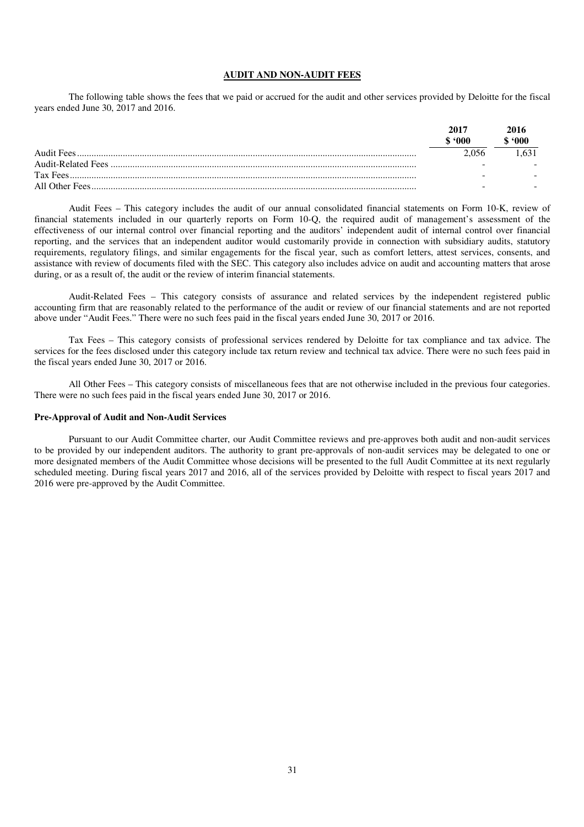## **AUDIT AND NON-AUDIT FEES**

The following table shows the fees that we paid or accrued for the audit and other services provided by Deloitte for the fiscal years ended June 30, 2017 and 2016.

|                | 2017<br>-600 | 2016<br>$600^\circ$ |
|----------------|--------------|---------------------|
| Audit Fees     | 2.056        |                     |
|                | -            |                     |
|                | -            |                     |
| All Other Fees | -            |                     |

Audit Fees – This category includes the audit of our annual consolidated financial statements on Form 10-K, review of financial statements included in our quarterly reports on Form 10-Q, the required audit of management's assessment of the effectiveness of our internal control over financial reporting and the auditors' independent audit of internal control over financial reporting, and the services that an independent auditor would customarily provide in connection with subsidiary audits, statutory requirements, regulatory filings, and similar engagements for the fiscal year, such as comfort letters, attest services, consents, and assistance with review of documents filed with the SEC. This category also includes advice on audit and accounting matters that arose during, or as a result of, the audit or the review of interim financial statements.

Audit-Related Fees – This category consists of assurance and related services by the independent registered public accounting firm that are reasonably related to the performance of the audit or review of our financial statements and are not reported above under "Audit Fees." There were no such fees paid in the fiscal years ended June 30, 2017 or 2016.

Tax Fees – This category consists of professional services rendered by Deloitte for tax compliance and tax advice. The services for the fees disclosed under this category include tax return review and technical tax advice. There were no such fees paid in the fiscal years ended June 30, 2017 or 2016.

All Other Fees – This category consists of miscellaneous fees that are not otherwise included in the previous four categories. There were no such fees paid in the fiscal years ended June 30, 2017 or 2016.

## **Pre-Approval of Audit and Non-Audit Services**

Pursuant to our Audit Committee charter, our Audit Committee reviews and pre-approves both audit and non-audit services to be provided by our independent auditors. The authority to grant pre-approvals of non-audit services may be delegated to one or more designated members of the Audit Committee whose decisions will be presented to the full Audit Committee at its next regularly scheduled meeting. During fiscal years 2017 and 2016, all of the services provided by Deloitte with respect to fiscal years 2017 and 2016 were pre-approved by the Audit Committee.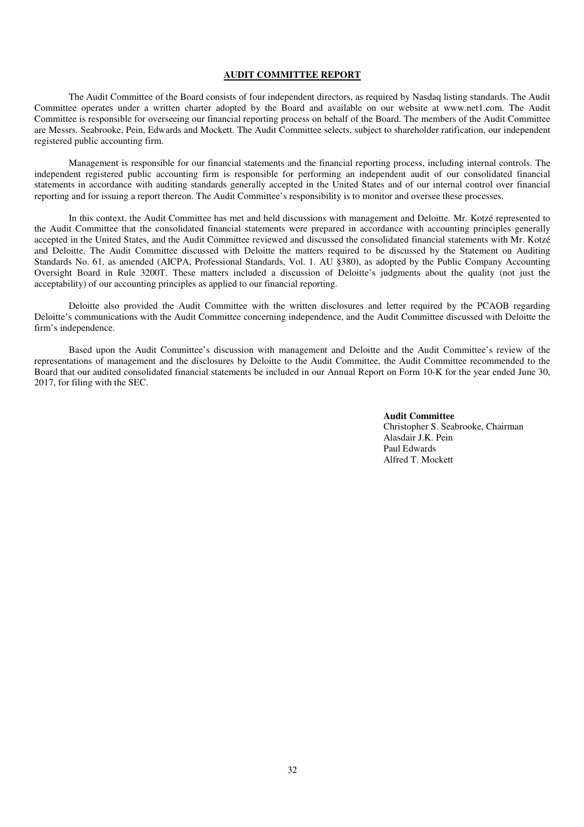### **AUDIT COMMITTEE REPORT**

The Audit Committee of the Board consists of four independent directors, as required by Nasdaq listing standards. The Audit Committee operates under a written charter adopted by the Board and available on our website at www.net1.com. The Audit Committee is responsible for overseeing our financial reporting process on behalf of the Board. The members of the Audit Committee are Messrs. Seabrooke, Pein, Edwards and Mockett. The Audit Committee selects, subject to shareholder ratification, our independent registered public accounting firm.

Management is responsible for our financial statements and the financial reporting process, including internal controls. The independent registered public accounting firm is responsible for performing an independent audit of our consolidated financial statements in accordance with auditing standards generally accepted in the United States and of our internal control over financial reporting and for issuing a report thereon. The Audit Committee's responsibility is to monitor and oversee these processes.

In this context, the Audit Committee has met and held discussions with management and Deloitte. Mr. Kotzé represented to the Audit Committee that the consolidated financial statements were prepared in accordance with accounting principles generally accepted in the United States, and the Audit Committee reviewed and discussed the consolidated financial statements with Mr. Kotzé and Deloitte. The Audit Committee discussed with Deloitte the matters required to be discussed by the Statement on Auditing Standards No. 61, as amended (AICPA, Professional Standards, Vol. 1. AU §380), as adopted by the Public Company Accounting Oversight Board in Rule 3200T. These matters included a discussion of Deloitte's judgments about the quality (not just the acceptability) of our accounting principles as applied to our financial reporting.

Deloitte also provided the Audit Committee with the written disclosures and letter required by the PCAOB regarding Deloitte's communications with the Audit Committee concerning independence, and the Audit Committee discussed with Deloitte the firm's independence.

Based upon the Audit Committee's discussion with management and Deloitte and the Audit Committee's review of the representations of management and the disclosures by Deloitte to the Audit Committee, the Audit Committee recommended to the Board that our audited consolidated financial statements be included in our Annual Report on Form 10-K for the year ended June 30, 2017, for filing with the SEC.

> **Audit Committee**  Christopher S. Seabrooke, Chairman Alasdair J.K. Pein Paul Edwards Alfred T. Mockett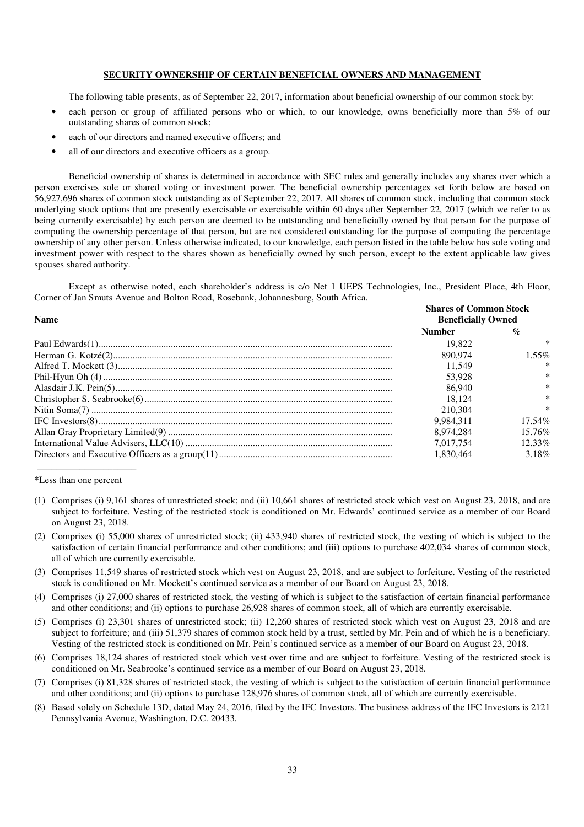## **SECURITY OWNERSHIP OF CERTAIN BENEFICIAL OWNERS AND MANAGEMENT**

The following table presents, as of September 22, 2017, information about beneficial ownership of our common stock by:

- each person or group of affiliated persons who or which, to our knowledge, owns beneficially more than 5% of our outstanding shares of common stock;
- each of our directors and named executive officers; and
- all of our directors and executive officers as a group.

Beneficial ownership of shares is determined in accordance with SEC rules and generally includes any shares over which a person exercises sole or shared voting or investment power. The beneficial ownership percentages set forth below are based on 56,927,696 shares of common stock outstanding as of September 22, 2017. All shares of common stock, including that common stock underlying stock options that are presently exercisable or exercisable within 60 days after September 22, 2017 (which we refer to as being currently exercisable) by each person are deemed to be outstanding and beneficially owned by that person for the purpose of computing the ownership percentage of that person, but are not considered outstanding for the purpose of computing the percentage ownership of any other person. Unless otherwise indicated, to our knowledge, each person listed in the table below has sole voting and investment power with respect to the shares shown as beneficially owned by such person, except to the extent applicable law gives spouses shared authority.

Except as otherwise noted, each shareholder's address is c/o Net 1 UEPS Technologies, Inc., President Place, 4th Floor, Corner of Jan Smuts Avenue and Bolton Road, Rosebank, Johannesburg, South Africa.

| <b>Name</b> | <b>Shares of Common Stock</b><br><b>Beneficially Owned</b> |                 |  |
|-------------|------------------------------------------------------------|-----------------|--|
|             | <b>Number</b>                                              | $\mathcal{Q}_0$ |  |
|             | 19.822                                                     |                 |  |
|             | 890.974                                                    | $1.55\%$        |  |
|             | 11.549                                                     | ∗               |  |
|             | 53.928                                                     | $\ast$          |  |
|             | 86,940                                                     | $\ast$          |  |
|             | 18.124                                                     | $\ast$          |  |
|             | 210.304                                                    | ∗               |  |
|             | 9.984.311                                                  | $17.54\%$       |  |
|             | 8.974.284                                                  | $15.76\%$       |  |
|             | 7.017.754                                                  | $12.33\%$       |  |
|             | 1.830.464                                                  | 3.18%           |  |

\*Less than one percent

- (1) Comprises (i) 9,161 shares of unrestricted stock; and (ii) 10,661 shares of restricted stock which vest on August 23, 2018, and are subject to forfeiture. Vesting of the restricted stock is conditioned on Mr. Edwards' continued service as a member of our Board on August 23, 2018.
- (2) Comprises (i) 55,000 shares of unrestricted stock; (ii) 433,940 shares of restricted stock, the vesting of which is subject to the satisfaction of certain financial performance and other conditions; and (iii) options to purchase 402,034 shares of common stock, all of which are currently exercisable.
- (3) Comprises 11,549 shares of restricted stock which vest on August 23, 2018, and are subject to forfeiture. Vesting of the restricted stock is conditioned on Mr. Mockett's continued service as a member of our Board on August 23, 2018.
- (4) Comprises (i) 27,000 shares of restricted stock, the vesting of which is subject to the satisfaction of certain financial performance and other conditions; and (ii) options to purchase 26,928 shares of common stock, all of which are currently exercisable.
- (5) Comprises (i) 23,301 shares of unrestricted stock; (ii) 12,260 shares of restricted stock which vest on August 23, 2018 and are subject to forfeiture; and (iii) 51,379 shares of common stock held by a trust, settled by Mr. Pein and of which he is a beneficiary. Vesting of the restricted stock is conditioned on Mr. Pein's continued service as a member of our Board on August 23, 2018.
- (6) Comprises 18,124 shares of restricted stock which vest over time and are subject to forfeiture. Vesting of the restricted stock is conditioned on Mr. Seabrooke's continued service as a member of our Board on August 23, 2018.
- (7) Comprises (i) 81,328 shares of restricted stock, the vesting of which is subject to the satisfaction of certain financial performance and other conditions; and (ii) options to purchase 128,976 shares of common stock, all of which are currently exercisable.
- (8) Based solely on Schedule 13D, dated May 24, 2016, filed by the IFC Investors. The business address of the IFC Investors is 2121 Pennsylvania Avenue, Washington, D.C. 20433.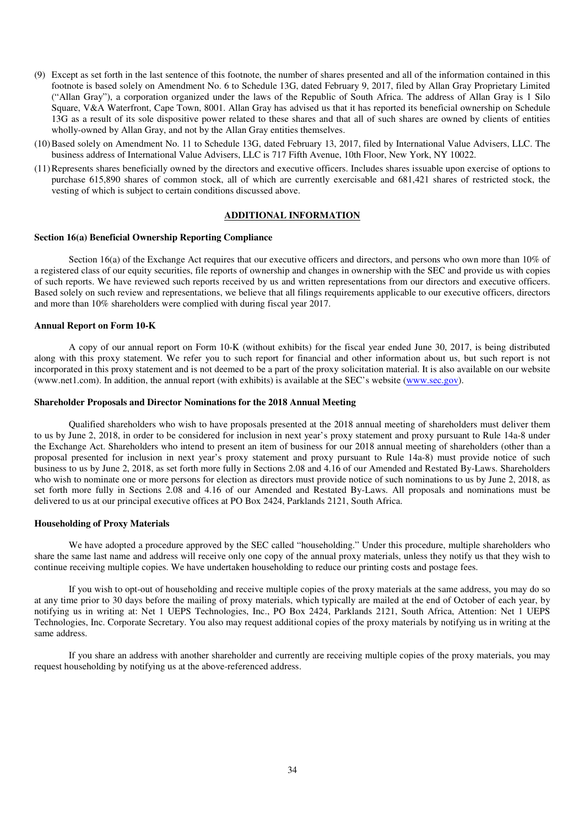- (9) Except as set forth in the last sentence of this footnote, the number of shares presented and all of the information contained in this footnote is based solely on Amendment No. 6 to Schedule 13G, dated February 9, 2017, filed by Allan Gray Proprietary Limited ("Allan Gray"), a corporation organized under the laws of the Republic of South Africa. The address of Allan Gray is 1 Silo Square, V&A Waterfront, Cape Town, 8001. Allan Gray has advised us that it has reported its beneficial ownership on Schedule 13G as a result of its sole dispositive power related to these shares and that all of such shares are owned by clients of entities wholly-owned by Allan Gray, and not by the Allan Gray entities themselves.
- (10) Based solely on Amendment No. 11 to Schedule 13G, dated February 13, 2017, filed by International Value Advisers, LLC. The business address of International Value Advisers, LLC is 717 Fifth Avenue, 10th Floor, New York, NY 10022.
- (11) Represents shares beneficially owned by the directors and executive officers. Includes shares issuable upon exercise of options to purchase 615,890 shares of common stock, all of which are currently exercisable and 681,421 shares of restricted stock, the vesting of which is subject to certain conditions discussed above.

## **ADDITIONAL INFORMATION**

## **Section 16(a) Beneficial Ownership Reporting Compliance**

Section 16(a) of the Exchange Act requires that our executive officers and directors, and persons who own more than 10% of a registered class of our equity securities, file reports of ownership and changes in ownership with the SEC and provide us with copies of such reports. We have reviewed such reports received by us and written representations from our directors and executive officers. Based solely on such review and representations, we believe that all filings requirements applicable to our executive officers, directors and more than 10% shareholders were complied with during fiscal year 2017.

#### **Annual Report on Form 10-K**

A copy of our annual report on Form 10-K (without exhibits) for the fiscal year ended June 30, 2017, is being distributed along with this proxy statement. We refer you to such report for financial and other information about us, but such report is not incorporated in this proxy statement and is not deemed to be a part of the proxy solicitation material. It is also available on our website (www.net1.com). In addition, the annual report (with exhibits) is available at the SEC's website (www.sec.gov).

## **Shareholder Proposals and Director Nominations for the 2018 Annual Meeting**

Qualified shareholders who wish to have proposals presented at the 2018 annual meeting of shareholders must deliver them to us by June 2, 2018, in order to be considered for inclusion in next year's proxy statement and proxy pursuant to Rule 14a-8 under the Exchange Act. Shareholders who intend to present an item of business for our 2018 annual meeting of shareholders (other than a proposal presented for inclusion in next year's proxy statement and proxy pursuant to Rule 14a-8) must provide notice of such business to us by June 2, 2018, as set forth more fully in Sections 2.08 and 4.16 of our Amended and Restated By-Laws. Shareholders who wish to nominate one or more persons for election as directors must provide notice of such nominations to us by June 2, 2018, as set forth more fully in Sections 2.08 and 4.16 of our Amended and Restated By-Laws. All proposals and nominations must be delivered to us at our principal executive offices at PO Box 2424, Parklands 2121, South Africa.

#### **Householding of Proxy Materials**

We have adopted a procedure approved by the SEC called "householding." Under this procedure, multiple shareholders who share the same last name and address will receive only one copy of the annual proxy materials, unless they notify us that they wish to continue receiving multiple copies. We have undertaken householding to reduce our printing costs and postage fees.

If you wish to opt-out of householding and receive multiple copies of the proxy materials at the same address, you may do so at any time prior to 30 days before the mailing of proxy materials, which typically are mailed at the end of October of each year, by notifying us in writing at: Net 1 UEPS Technologies, Inc., PO Box 2424, Parklands 2121, South Africa, Attention: Net 1 UEPS Technologies, Inc. Corporate Secretary. You also may request additional copies of the proxy materials by notifying us in writing at the same address.

If you share an address with another shareholder and currently are receiving multiple copies of the proxy materials, you may request householding by notifying us at the above-referenced address.